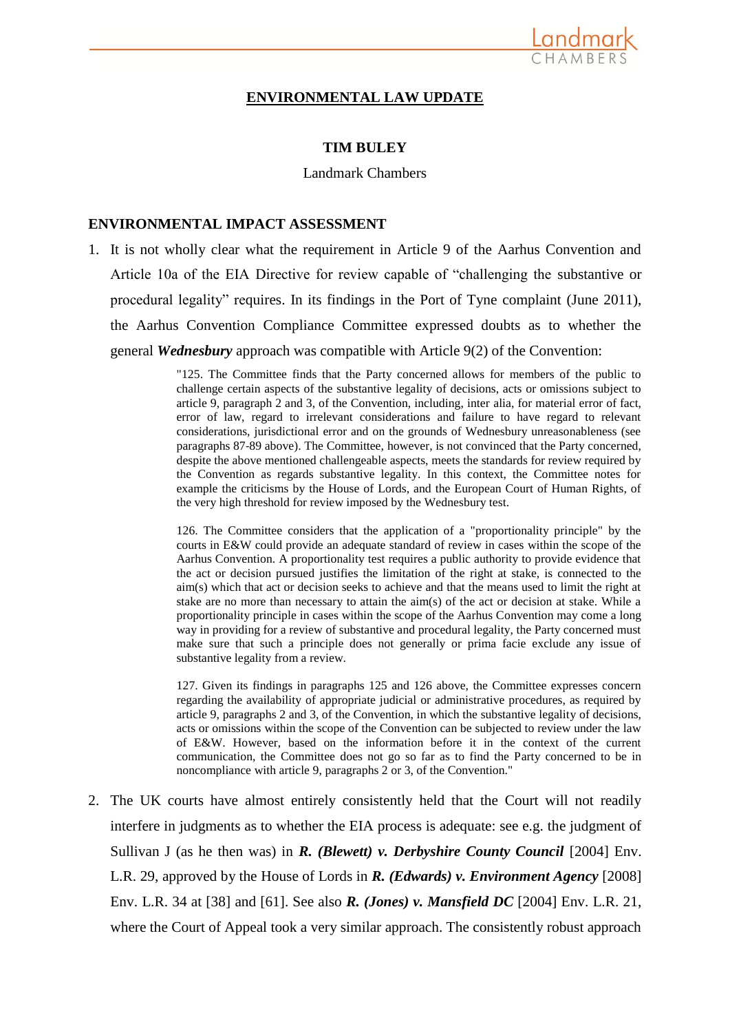

## **ENVIRONMENTAL LAW UPDATE**

### **TIM BULEY**

#### Landmark Chambers

#### **ENVIRONMENTAL IMPACT ASSESSMENT**

1. It is not wholly clear what the requirement in Article 9 of the Aarhus Convention and Article 10a of the EIA Directive for review capable of "challenging the substantive or procedural legality" requires. In its findings in the Port of Tyne complaint (June 2011), the Aarhus Convention Compliance Committee expressed doubts as to whether the general *Wednesbury* approach was compatible with Article 9(2) of the Convention:

> "125. The Committee finds that the Party concerned allows for members of the public to challenge certain aspects of the substantive legality of decisions, acts or omissions subject to article 9, paragraph 2 and 3, of the Convention, including, inter alia, for material error of fact, error of law, regard to irrelevant considerations and failure to have regard to relevant considerations, jurisdictional error and on the grounds of Wednesbury unreasonableness (see paragraphs 87‐89 above). The Committee, however, is not convinced that the Party concerned, despite the above mentioned challengeable aspects, meets the standards for review required by the Convention as regards substantive legality. In this context, the Committee notes for example the criticisms by the House of Lords, and the European Court of Human Rights, of the very high threshold for review imposed by the Wednesbury test.

> 126. The Committee considers that the application of a "proportionality principle" by the courts in E&W could provide an adequate standard of review in cases within the scope of the Aarhus Convention. A proportionality test requires a public authority to provide evidence that the act or decision pursued justifies the limitation of the right at stake, is connected to the aim(s) which that act or decision seeks to achieve and that the means used to limit the right at stake are no more than necessary to attain the aim(s) of the act or decision at stake. While a proportionality principle in cases within the scope of the Aarhus Convention may come a long way in providing for a review of substantive and procedural legality, the Party concerned must make sure that such a principle does not generally or prima facie exclude any issue of substantive legality from a review.

> 127. Given its findings in paragraphs 125 and 126 above, the Committee expresses concern regarding the availability of appropriate judicial or administrative procedures, as required by article 9, paragraphs 2 and 3, of the Convention, in which the substantive legality of decisions, acts or omissions within the scope of the Convention can be subjected to review under the law of E&W. However, based on the information before it in the context of the current communication, the Committee does not go so far as to find the Party concerned to be in noncompliance with article 9, paragraphs 2 or 3, of the Convention."

2. The UK courts have almost entirely consistently held that the Court will not readily interfere in judgments as to whether the EIA process is adequate: see e.g. the judgment of Sullivan J (as he then was) in *R. (Blewett) v. Derbyshire County Council* [2004] Env. L.R. 29, approved by the House of Lords in *R. (Edwards) v. Environment Agency* [2008] Env. L.R. 34 at [38] and [61]. See also *R. (Jones) v. Mansfield DC* [2004] Env. L.R. 21, where the Court of Appeal took a very similar approach. The consistently robust approach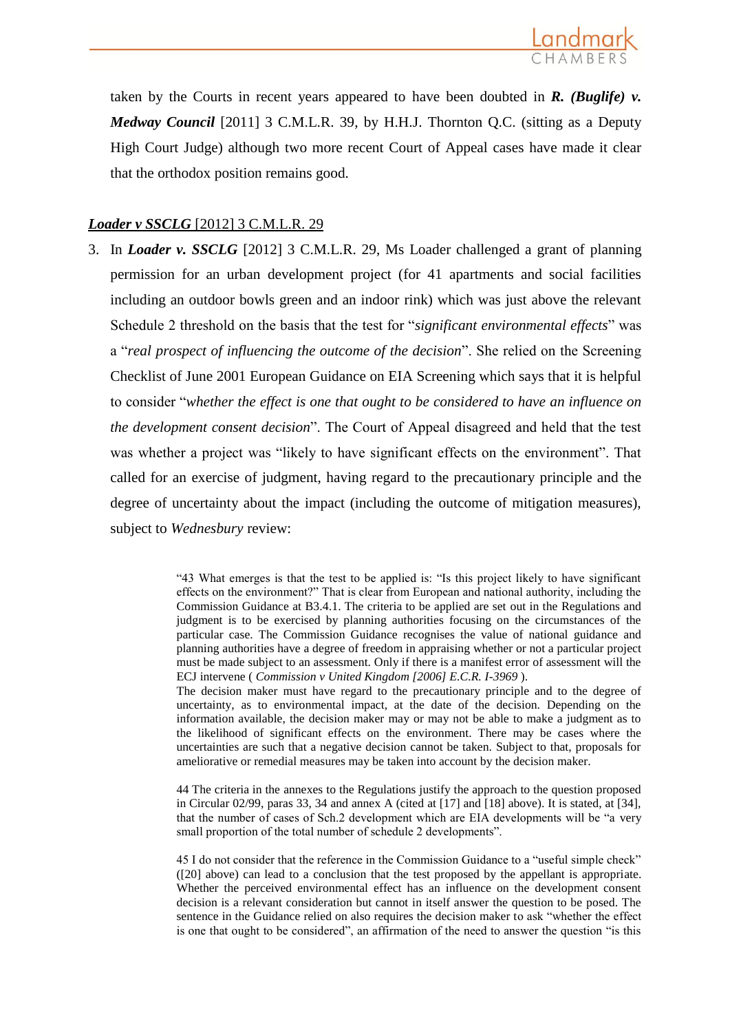

taken by the Courts in recent years appeared to have been doubted in  $\mathbf{R}$ . *(Buglife)*  $\nu$ . *Medway Council* [2011] 3 C.M.L.R. 39, by H.H.J. Thornton Q.C. (sitting as a Deputy High Court Judge) although two more recent Court of Appeal cases have made it clear that the orthodox position remains good.

## *Loader v SSCLG* [2012] 3 C.M.L.R. 29

3. In *Loader v. SSCLG* [2012] 3 C.M.L.R. 29, Ms Loader challenged a grant of planning permission for an urban development project (for 41 apartments and social facilities including an outdoor bowls green and an indoor rink) which was just above the relevant Schedule 2 threshold on the basis that the test for "*significant environmental effects*" was a "*real prospect of influencing the outcome of the decision*". She relied on the Screening Checklist of June 2001 European Guidance on EIA Screening which says that it is helpful to consider "*whether the effect is one that ought to be considered to have an influence on the development consent decision*". The Court of Appeal disagreed and held that the test was whether a project was "likely to have significant effects on the environment". That called for an exercise of judgment, having regard to the precautionary principle and the degree of uncertainty about the impact (including the outcome of mitigation measures), subject to *Wednesbury* review:

> "43 What emerges is that the test to be applied is: "Is this project likely to have significant effects on the environment?" That is clear from European and national authority, including the Commission Guidance at B3.4.1. The criteria to be applied are set out in the Regulations and judgment is to be exercised by planning authorities focusing on the circumstances of the particular case. The Commission Guidance recognises the value of national guidance and planning authorities have a degree of freedom in appraising whether or not a particular project must be made subject to an assessment. Only if there is a manifest error of assessment will the ECJ intervene ( *Commission v United Kingdom [2006] E.C.R. I-3969* ).

> The decision maker must have regard to the precautionary principle and to the degree of uncertainty, as to environmental impact, at the date of the decision. Depending on the information available, the decision maker may or may not be able to make a judgment as to the likelihood of significant effects on the environment. There may be cases where the uncertainties are such that a negative decision cannot be taken. Subject to that, proposals for ameliorative or remedial measures may be taken into account by the decision maker.

> 44 The criteria in the annexes to the Regulations justify the approach to the question proposed in Circular 02/99, paras 33, 34 and annex A (cited at [17] and [18] above). It is stated, at [34], that the number of cases of Sch.2 development which are EIA developments will be "a very small proportion of the total number of schedule 2 developments".

> 45 I do not consider that the reference in the Commission Guidance to a "useful simple check" ([20] above) can lead to a conclusion that the test proposed by the appellant is appropriate. Whether the perceived environmental effect has an influence on the development consent decision is a relevant consideration but cannot in itself answer the question to be posed. The sentence in the Guidance relied on also requires the decision maker to ask "whether the effect is one that ought to be considered", an affirmation of the need to answer the question "is this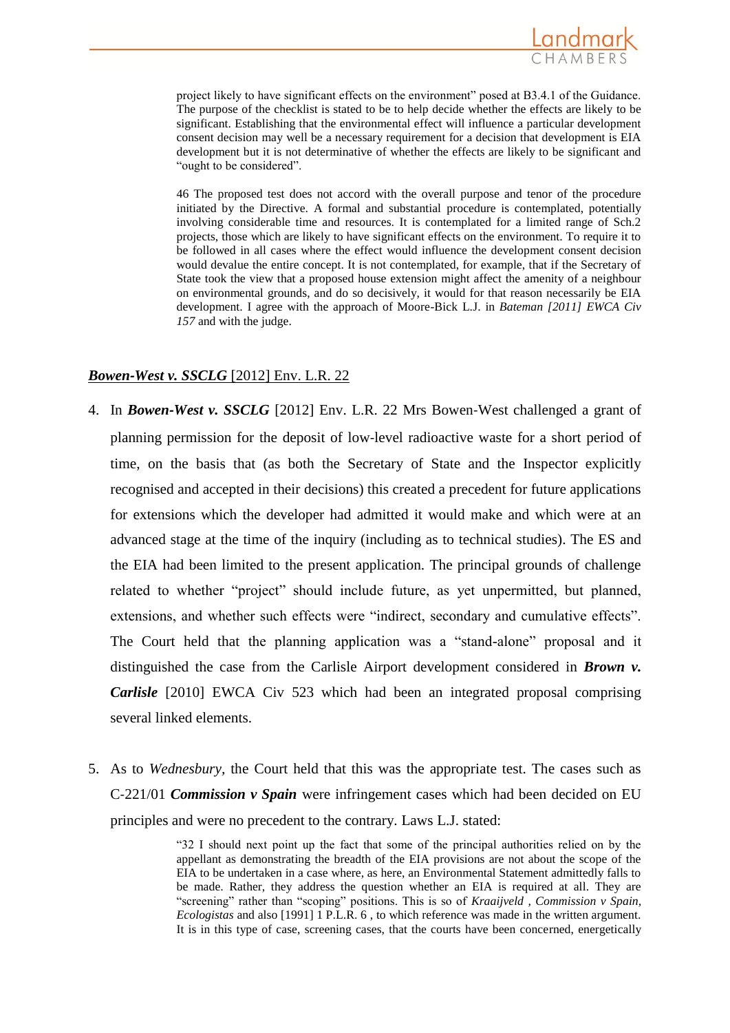

project likely to have significant effects on the environment" posed at B3.4.1 of the Guidance. The purpose of the checklist is stated to be to help decide whether the effects are likely to be significant. Establishing that the environmental effect will influence a particular development consent decision may well be a necessary requirement for a decision that development is EIA development but it is not determinative of whether the effects are likely to be significant and "ought to be considered".

46 The proposed test does not accord with the overall purpose and tenor of the procedure initiated by the Directive. A formal and substantial procedure is contemplated, potentially involving considerable time and resources. It is contemplated for a limited range of Sch.2 projects, those which are likely to have significant effects on the environment. To require it to be followed in all cases where the effect would influence the development consent decision would devalue the entire concept. It is not contemplated, for example, that if the Secretary of State took the view that a proposed house extension might affect the amenity of a neighbour on environmental grounds, and do so decisively, it would for that reason necessarily be EIA development. I agree with the approach of Moore-Bick L.J. in *Bateman [2011] EWCA Civ 157* and with the judge.

### *Bowen‐West v. SSCLG* [2012] Env. L.R. 22

- 4. In *Bowen‐West v. SSCLG* [2012] Env. L.R. 22 Mrs Bowen‐West challenged a grant of planning permission for the deposit of low‐level radioactive waste for a short period of time, on the basis that (as both the Secretary of State and the Inspector explicitly recognised and accepted in their decisions) this created a precedent for future applications for extensions which the developer had admitted it would make and which were at an advanced stage at the time of the inquiry (including as to technical studies). The ES and the EIA had been limited to the present application. The principal grounds of challenge related to whether "project" should include future, as yet unpermitted, but planned, extensions, and whether such effects were "indirect, secondary and cumulative effects". The Court held that the planning application was a "stand-alone" proposal and it distinguished the case from the Carlisle Airport development considered in *Brown v. Carlisle* [2010] EWCA Civ 523 which had been an integrated proposal comprising several linked elements.
- 5. As to *Wednesbury,* the Court held that this was the appropriate test. The cases such as C‐221/01 *Commission v Spain* were infringement cases which had been decided on EU principles and were no precedent to the contrary. Laws L.J. stated:

"32 I should next point up the fact that some of the principal authorities relied on by the appellant as demonstrating the breadth of the EIA provisions are not about the scope of the EIA to be undertaken in a case where, as here, an Environmental Statement admittedly falls to be made. Rather, they address the question whether an EIA is required at all. They are "screening" rather than "scoping" positions. This is so of *Kraaijveld , Commission v Spain, Ecologistas* and also [1991] 1 P.L.R. 6 , to which reference was made in the written argument. It is in this type of case, screening cases, that the courts have been concerned, energetically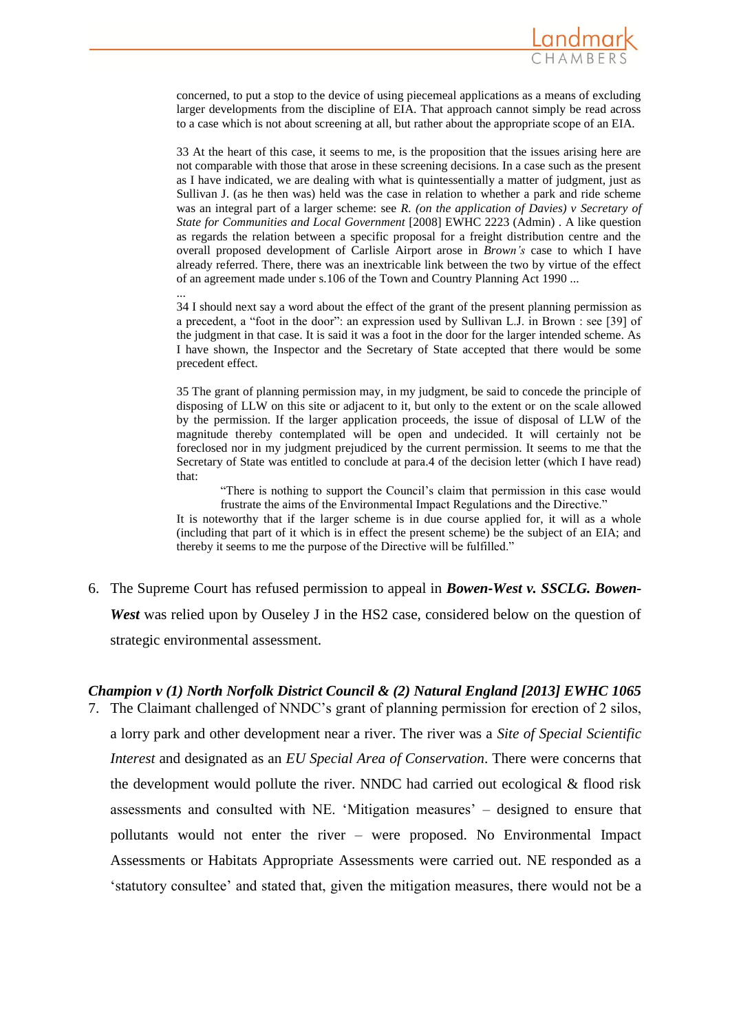

concerned, to put a stop to the device of using piecemeal applications as a means of excluding larger developments from the discipline of EIA. That approach cannot simply be read across to a case which is not about screening at all, but rather about the appropriate scope of an EIA.

33 At the heart of this case, it seems to me, is the proposition that the issues arising here are not comparable with those that arose in these screening decisions. In a case such as the present as I have indicated, we are dealing with what is quintessentially a matter of judgment, just as Sullivan J. (as he then was) held was the case in relation to whether a park and ride scheme was an integral part of a larger scheme: see *R. (on the application of Davies) v Secretary of State for Communities and Local Government* [2008] EWHC 2223 (Admin) . A like question as regards the relation between a specific proposal for a freight distribution centre and the overall proposed development of Carlisle Airport arose in *Brown's* case to which I have already referred. There, there was an inextricable link between the two by virtue of the effect of an agreement made under s.106 of the Town and Country Planning Act 1990 ...

... 34 I should next say a word about the effect of the grant of the present planning permission as a precedent, a "foot in the door": an expression used by Sullivan L.J. in Brown : see [39] of the judgment in that case. It is said it was a foot in the door for the larger intended scheme. As I have shown, the Inspector and the Secretary of State accepted that there would be some precedent effect.

35 The grant of planning permission may, in my judgment, be said to concede the principle of disposing of LLW on this site or adjacent to it, but only to the extent or on the scale allowed by the permission. If the larger application proceeds, the issue of disposal of LLW of the magnitude thereby contemplated will be open and undecided. It will certainly not be foreclosed nor in my judgment prejudiced by the current permission. It seems to me that the Secretary of State was entitled to conclude at para.4 of the decision letter (which I have read) that:

"There is nothing to support the Council's claim that permission in this case would frustrate the aims of the Environmental Impact Regulations and the Directive."

It is noteworthy that if the larger scheme is in due course applied for, it will as a whole (including that part of it which is in effect the present scheme) be the subject of an EIA; and thereby it seems to me the purpose of the Directive will be fulfilled."

6. The Supreme Court has refused permission to appeal in *Bowen‐West v. SSCLG. Bowen-West* was relied upon by Ouseley J in the HS2 case, considered below on the question of strategic environmental assessment.

# *Champion v (1) North Norfolk District Council & (2) Natural England [2013] EWHC 1065* 7. The Claimant challenged of NNDC's grant of planning permission for erection of 2 silos, a lorry park and other development near a river. The river was a *Site of Special Scientific Interest* and designated as an *EU Special Area of Conservation*. There were concerns that the development would pollute the river. NNDC had carried out ecological  $\&$  flood risk assessments and consulted with NE. 'Mitigation measures' – designed to ensure that pollutants would not enter the river – were proposed. No Environmental Impact Assessments or Habitats Appropriate Assessments were carried out. NE responded as a 'statutory consultee' and stated that, given the mitigation measures, there would not be a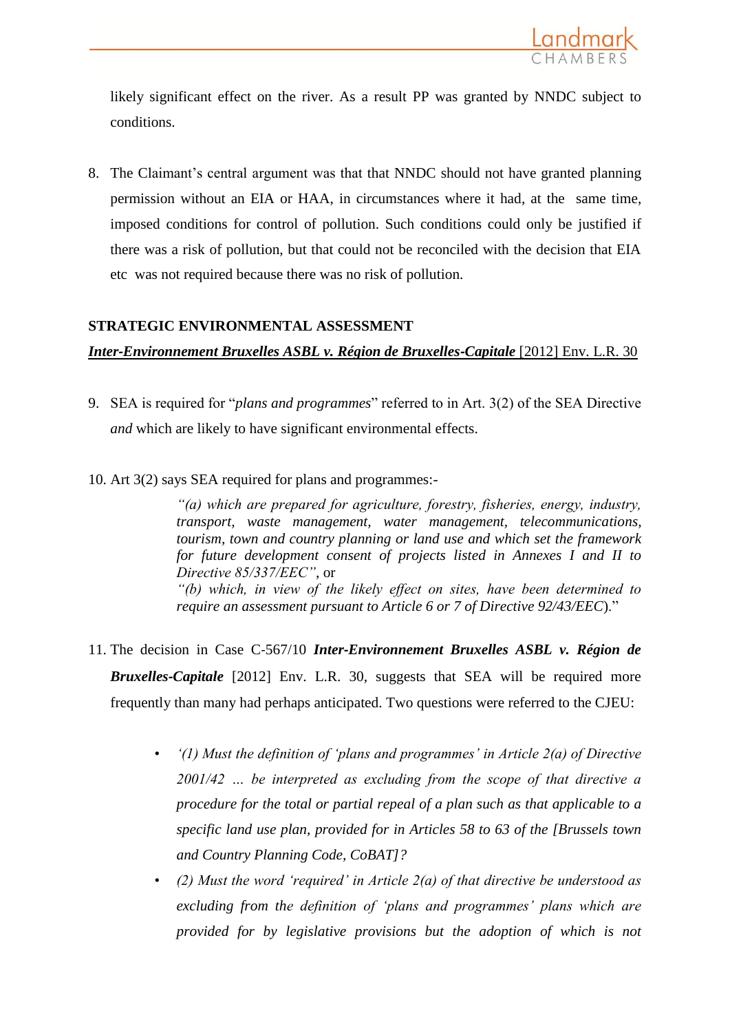

likely significant effect on the river. As a result PP was granted by NNDC subject to conditions.

8. The Claimant's central argument was that that NNDC should not have granted planning permission without an EIA or HAA, in circumstances where it had, at the same time, imposed conditions for control of pollution. Such conditions could only be justified if there was a risk of pollution, but that could not be reconciled with the decision that EIA etc was not required because there was no risk of pollution.

## **STRATEGIC ENVIRONMENTAL ASSESSMENT**

## *Inter‐Environnement Bruxelles ASBL v. Région de Bruxelles‐Capitale* [2012] Env. L.R. 30

- 9. SEA is required for "*plans and programmes*" referred to in Art. 3(2) of the SEA Directive *and* which are likely to have significant environmental effects.
- 10. Art 3(2) says SEA required for plans and programmes:-

*"(a) which are prepared for agriculture, forestry, fisheries, energy, industry, transport, waste management, water management, telecommunications, tourism, town and country planning or land use and which set the framework for future development consent of projects listed in Annexes I and II to Directive 85/337/EEC"*, or *"(b) which, in view of the likely effect on sites, have been determined to require an assessment pursuant to Article 6 or 7 of Directive 92/43/EEC*)."

- 11. The decision in Case C-567/10 *Inter-Environnement Bruxelles ASBL v. Région de Bruxelles‐Capitale* [2012] Env. L.R. 30, suggests that SEA will be required more frequently than many had perhaps anticipated. Two questions were referred to the CJEU:
	- *'(1) Must the definition of 'plans and programmes' in Article 2(a) of Directive 2001/42 … be interpreted as excluding from the scope of that directive a procedure for the total or partial repeal of a plan such as that applicable to a specific land use plan, provided for in Articles 58 to 63 of the [Brussels town and Country Planning Code, CoBAT]?*
	- *(2) Must the word 'required' in Article 2(a) of that directive be understood as excluding from the definition of 'plans and programmes' plans which are provided for by legislative provisions but the adoption of which is not*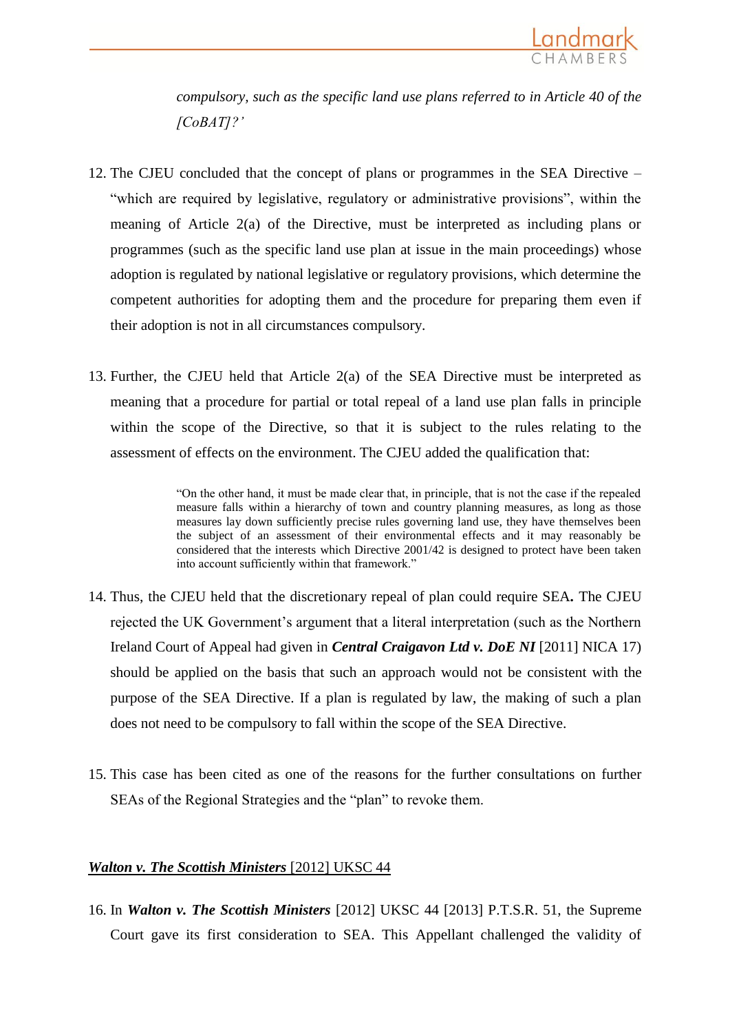

*compulsory, such as the specific land use plans referred to in Article 40 of the [CoBAT]?'*

- 12. The CJEU concluded that the concept of plans or programmes in the SEA Directive "which are required by legislative, regulatory or administrative provisions", within the meaning of Article 2(a) of the Directive, must be interpreted as including plans or programmes (such as the specific land use plan at issue in the main proceedings) whose adoption is regulated by national legislative or regulatory provisions, which determine the competent authorities for adopting them and the procedure for preparing them even if their adoption is not in all circumstances compulsory.
- 13. Further, the CJEU held that Article 2(a) of the SEA Directive must be interpreted as meaning that a procedure for partial or total repeal of a land use plan falls in principle within the scope of the Directive, so that it is subject to the rules relating to the assessment of effects on the environment. The CJEU added the qualification that:

"On the other hand, it must be made clear that, in principle, that is not the case if the repealed measure falls within a hierarchy of town and country planning measures, as long as those measures lay down sufficiently precise rules governing land use, they have themselves been the subject of an assessment of their environmental effects and it may reasonably be considered that the interests which Directive 2001/42 is designed to protect have been taken into account sufficiently within that framework."

- 14. Thus, the CJEU held that the discretionary repeal of plan could require SEA*.* The CJEU rejected the UK Government's argument that a literal interpretation (such as the Northern Ireland Court of Appeal had given in *Central Craigavon Ltd v. DoE NI* [2011] NICA 17) should be applied on the basis that such an approach would not be consistent with the purpose of the SEA Directive. If a plan is regulated by law, the making of such a plan does not need to be compulsory to fall within the scope of the SEA Directive.
- 15. This case has been cited as one of the reasons for the further consultations on further SEAs of the Regional Strategies and the "plan" to revoke them.

## *Walton v. The Scottish Ministers* [2012] UKSC 44

16. In *Walton v. The Scottish Ministers* [2012] UKSC 44 [2013] P.T.S.R. 51, the Supreme Court gave its first consideration to SEA. This Appellant challenged the validity of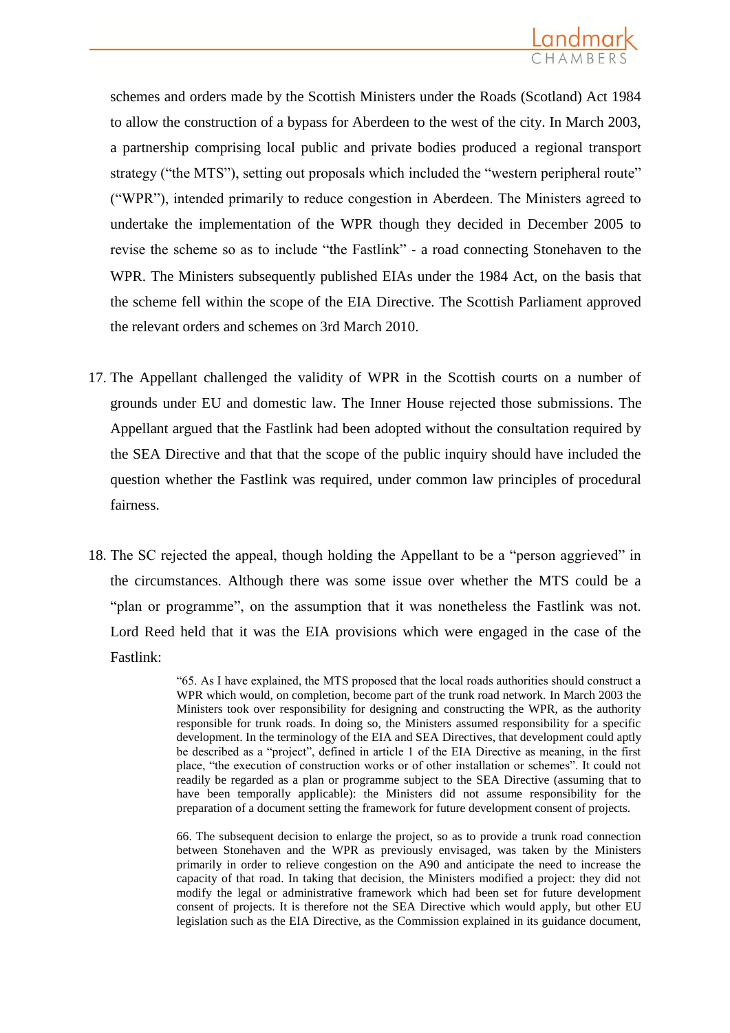

schemes and orders made by the Scottish Ministers under the Roads (Scotland) Act 1984 to allow the construction of a bypass for Aberdeen to the west of the city. In March 2003, a partnership comprising local public and private bodies produced a regional transport strategy ("the MTS"), setting out proposals which included the "western peripheral route" ("WPR"), intended primarily to reduce congestion in Aberdeen. The Ministers agreed to undertake the implementation of the WPR though they decided in December 2005 to revise the scheme so as to include "the Fastlink" ‐ a road connecting Stonehaven to the WPR. The Ministers subsequently published EIAs under the 1984 Act, on the basis that the scheme fell within the scope of the EIA Directive. The Scottish Parliament approved the relevant orders and schemes on 3rd March 2010.

- 17. The Appellant challenged the validity of WPR in the Scottish courts on a number of grounds under EU and domestic law. The Inner House rejected those submissions. The Appellant argued that the Fastlink had been adopted without the consultation required by the SEA Directive and that that the scope of the public inquiry should have included the question whether the Fastlink was required, under common law principles of procedural fairness.
- 18. The SC rejected the appeal, though holding the Appellant to be a "person aggrieved" in the circumstances. Although there was some issue over whether the MTS could be a "plan or programme", on the assumption that it was nonetheless the Fastlink was not. Lord Reed held that it was the EIA provisions which were engaged in the case of the Fastlink:

"65. As I have explained, the MTS proposed that the local roads authorities should construct a WPR which would, on completion, become part of the trunk road network. In March 2003 the Ministers took over responsibility for designing and constructing the WPR, as the authority responsible for trunk roads. In doing so, the Ministers assumed responsibility for a specific development. In the terminology of the EIA and SEA Directives, that development could aptly be described as a "project", defined in article 1 of the EIA Directive as meaning, in the first place, "the execution of construction works or of other installation or schemes". It could not readily be regarded as a plan or programme subject to the SEA Directive (assuming that to have been temporally applicable): the Ministers did not assume responsibility for the preparation of a document setting the framework for future development consent of projects.

66. The subsequent decision to enlarge the project, so as to provide a trunk road connection between Stonehaven and the WPR as previously envisaged, was taken by the Ministers primarily in order to relieve congestion on the A90 and anticipate the need to increase the capacity of that road. In taking that decision, the Ministers modified a project: they did not modify the legal or administrative framework which had been set for future development consent of projects. It is therefore not the SEA Directive which would apply, but other EU legislation such as the EIA Directive, as the Commission explained in its guidance document,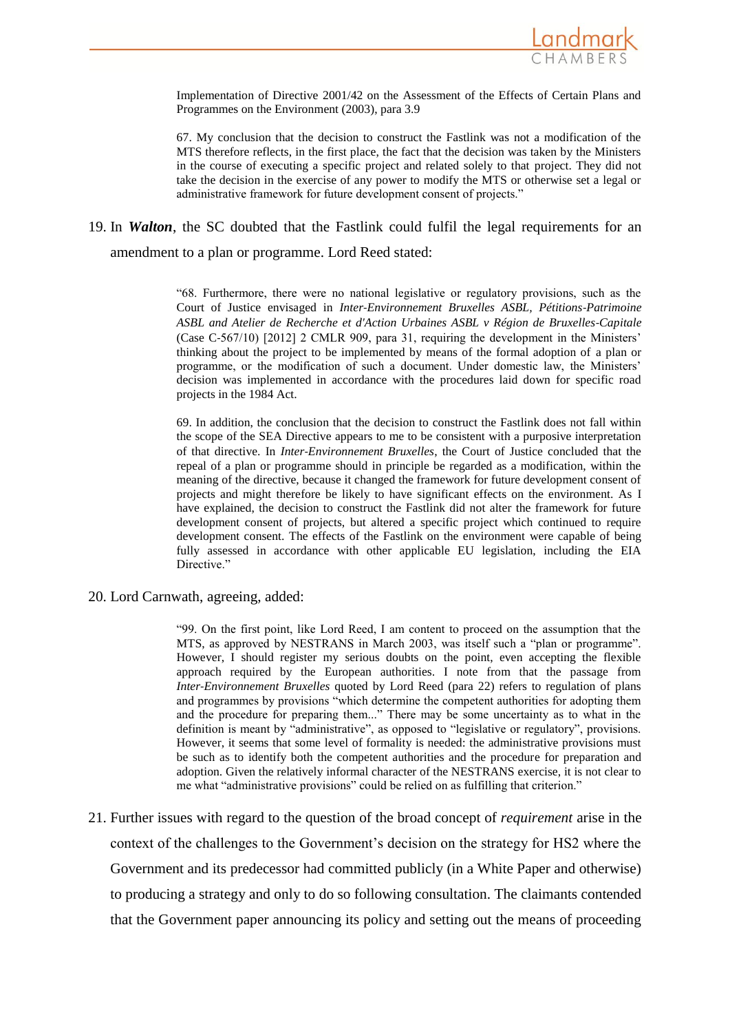

Implementation of Directive 2001/42 on the Assessment of the Effects of Certain Plans and Programmes on the Environment (2003), para 3.9

67. My conclusion that the decision to construct the Fastlink was not a modification of the MTS therefore reflects, in the first place, the fact that the decision was taken by the Ministers in the course of executing a specific project and related solely to that project. They did not take the decision in the exercise of any power to modify the MTS or otherwise set a legal or administrative framework for future development consent of projects."

# 19. In *Walton*, the SC doubted that the Fastlink could fulfil the legal requirements for an amendment to a plan or programme. Lord Reed stated:

"68. Furthermore, there were no national legislative or regulatory provisions, such as the Court of Justice envisaged in *Inter‐Environnement Bruxelles ASBL, Pétitions‐Patrimoine ASBL and Atelier de Recherche et d'Action Urbaines ASBL v Région de Bruxelles‐Capitale*  (Case C‐567/10) [2012] 2 CMLR 909, para 31, requiring the development in the Ministers' thinking about the project to be implemented by means of the formal adoption of a plan or programme, or the modification of such a document. Under domestic law, the Ministers' decision was implemented in accordance with the procedures laid down for specific road projects in the 1984 Act.

69. In addition, the conclusion that the decision to construct the Fastlink does not fall within the scope of the SEA Directive appears to me to be consistent with a purposive interpretation of that directive. In *Inter‐Environnement Bruxelles*, the Court of Justice concluded that the repeal of a plan or programme should in principle be regarded as a modification, within the meaning of the directive, because it changed the framework for future development consent of projects and might therefore be likely to have significant effects on the environment. As I have explained, the decision to construct the Fastlink did not alter the framework for future development consent of projects, but altered a specific project which continued to require development consent. The effects of the Fastlink on the environment were capable of being fully assessed in accordance with other applicable EU legislation, including the EIA Directive."

20. Lord Carnwath, agreeing, added:

"99. On the first point, like Lord Reed, I am content to proceed on the assumption that the MTS, as approved by NESTRANS in March 2003, was itself such a "plan or programme". However, I should register my serious doubts on the point, even accepting the flexible approach required by the European authorities. I note from that the passage from *Inter‐Environnement Bruxelles* quoted by Lord Reed (para 22) refers to regulation of plans and programmes by provisions "which determine the competent authorities for adopting them and the procedure for preparing them..." There may be some uncertainty as to what in the definition is meant by "administrative", as opposed to "legislative or regulatory", provisions. However, it seems that some level of formality is needed: the administrative provisions must be such as to identify both the competent authorities and the procedure for preparation and adoption. Given the relatively informal character of the NESTRANS exercise, it is not clear to me what "administrative provisions" could be relied on as fulfilling that criterion."

21. Further issues with regard to the question of the broad concept of *requirement* arise in the context of the challenges to the Government's decision on the strategy for HS2 where the Government and its predecessor had committed publicly (in a White Paper and otherwise) to producing a strategy and only to do so following consultation. The claimants contended that the Government paper announcing its policy and setting out the means of proceeding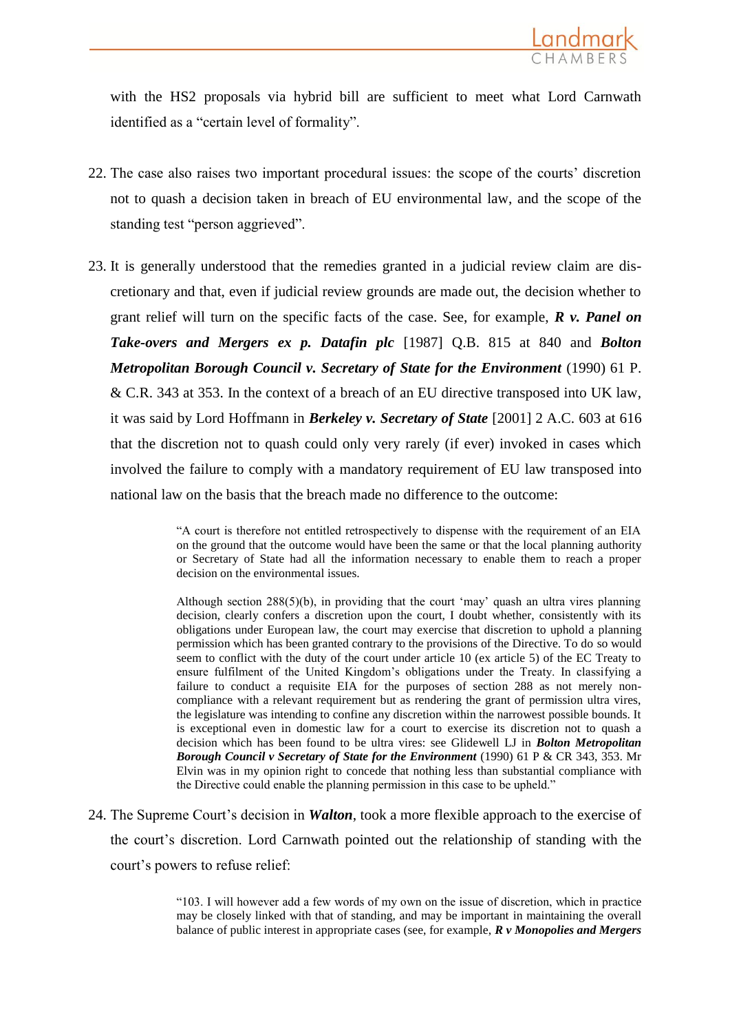

with the HS2 proposals via hybrid bill are sufficient to meet what Lord Carnwath identified as a "certain level of formality".

- 22. The case also raises two important procedural issues: the scope of the courts' discretion not to quash a decision taken in breach of EU environmental law, and the scope of the standing test "person aggrieved".
- 23. It is generally understood that the remedies granted in a judicial review claim are discretionary and that, even if judicial review grounds are made out, the decision whether to grant relief will turn on the specific facts of the case. See, for example, *R v. Panel on Take-overs and Mergers ex p. Datafin plc* [1987] Q.B. 815 at 840 and *Bolton Metropolitan Borough Council v. Secretary of State for the Environment* (1990) 61 P. & C.R. 343 at 353. In the context of a breach of an EU directive transposed into UK law, it was said by Lord Hoffmann in *Berkeley v. Secretary of State* [2001] 2 A.C. 603 at 616 that the discretion not to quash could only very rarely (if ever) invoked in cases which involved the failure to comply with a mandatory requirement of EU law transposed into national law on the basis that the breach made no difference to the outcome:

"A court is therefore not entitled retrospectively to dispense with the requirement of an EIA on the ground that the outcome would have been the same or that the local planning authority or Secretary of State had all the information necessary to enable them to reach a proper decision on the environmental issues.

Although section  $288(5)(b)$ , in providing that the court 'may' quash an ultra vires planning decision, clearly confers a discretion upon the court, I doubt whether, consistently with its obligations under European law, the court may exercise that discretion to uphold a planning permission which has been granted contrary to the provisions of the Directive. To do so would seem to conflict with the duty of the court under article 10 (ex article 5) of the EC Treaty to ensure fulfilment of the United Kingdom's obligations under the Treaty. In classifying a failure to conduct a requisite EIA for the purposes of section 288 as not merely noncompliance with a relevant requirement but as rendering the grant of permission ultra vires, the legislature was intending to confine any discretion within the narrowest possible bounds. It is exceptional even in domestic law for a court to exercise its discretion not to quash a decision which has been found to be ultra vires: see Glidewell LJ in *Bolton Metropolitan Borough Council v Secretary of State for the Environment* (1990) 61 P & CR 343, 353. Mr Elvin was in my opinion right to concede that nothing less than substantial compliance with the Directive could enable the planning permission in this case to be upheld."

24. The Supreme Court's decision in *Walton*, took a more flexible approach to the exercise of the court's discretion. Lord Carnwath pointed out the relationship of standing with the court's powers to refuse relief:

> "103. I will however add a few words of my own on the issue of discretion, which in practice may be closely linked with that of standing, and may be important in maintaining the overall balance of public interest in appropriate cases (see, for example, *R v Monopolies and Mergers*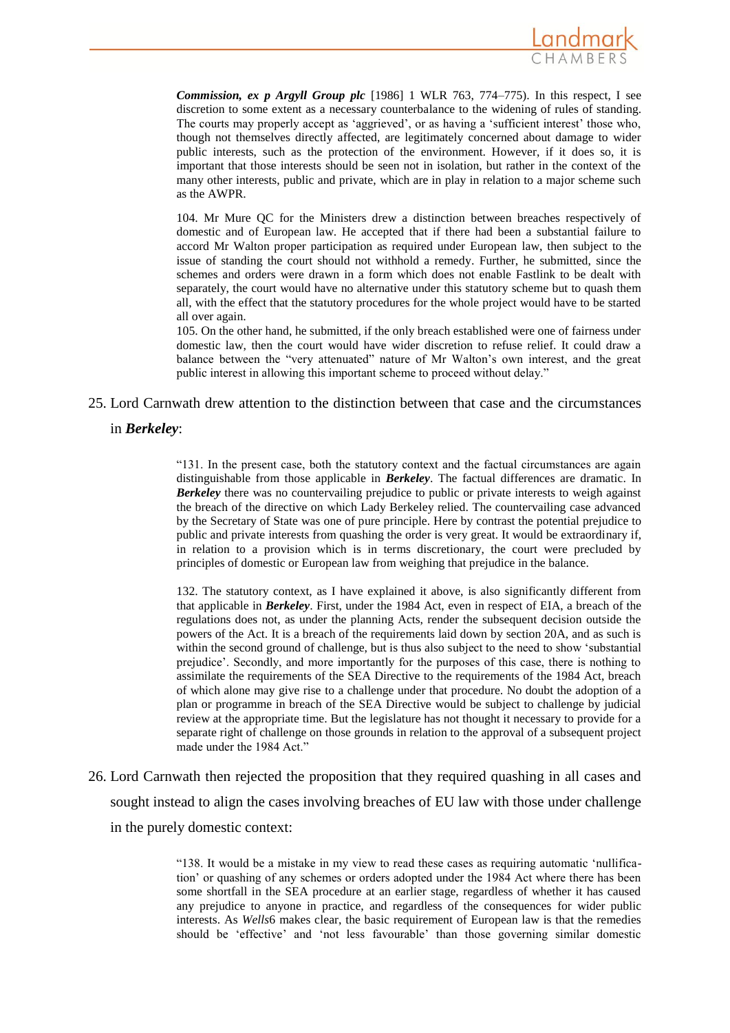

*Commission, ex p Argyll Group plc* [1986] 1 WLR 763, 774–775). In this respect, I see discretion to some extent as a necessary counterbalance to the widening of rules of standing. The courts may properly accept as 'aggrieved', or as having a 'sufficient interest' those who, though not themselves directly affected, are legitimately concerned about damage to wider public interests, such as the protection of the environment. However, if it does so, it is important that those interests should be seen not in isolation, but rather in the context of the many other interests, public and private, which are in play in relation to a major scheme such as the AWPR.

104. Mr Mure QC for the Ministers drew a distinction between breaches respectively of domestic and of European law. He accepted that if there had been a substantial failure to accord Mr Walton proper participation as required under European law, then subject to the issue of standing the court should not withhold a remedy. Further, he submitted, since the schemes and orders were drawn in a form which does not enable Fastlink to be dealt with separately, the court would have no alternative under this statutory scheme but to quash them all, with the effect that the statutory procedures for the whole project would have to be started all over again.

105. On the other hand, he submitted, if the only breach established were one of fairness under domestic law, then the court would have wider discretion to refuse relief. It could draw a balance between the "very attenuated" nature of Mr Walton's own interest, and the great public interest in allowing this important scheme to proceed without delay."

#### 25. Lord Carnwath drew attention to the distinction between that case and the circumstances

#### in *Berkeley*:

"131. In the present case, both the statutory context and the factual circumstances are again distinguishable from those applicable in *Berkeley*. The factual differences are dramatic. In *Berkeley* there was no countervailing prejudice to public or private interests to weigh against the breach of the directive on which Lady Berkeley relied. The countervailing case advanced by the Secretary of State was one of pure principle. Here by contrast the potential prejudice to public and private interests from quashing the order is very great. It would be extraordinary if, in relation to a provision which is in terms discretionary, the court were precluded by principles of domestic or European law from weighing that prejudice in the balance.

132. The statutory context, as I have explained it above, is also significantly different from that applicable in *Berkeley*. First, under the 1984 Act, even in respect of EIA, a breach of the regulations does not, as under the planning Acts, render the subsequent decision outside the powers of the Act. It is a breach of the requirements laid down by section 20A, and as such is within the second ground of challenge, but is thus also subject to the need to show 'substantial prejudice'. Secondly, and more importantly for the purposes of this case, there is nothing to assimilate the requirements of the SEA Directive to the requirements of the 1984 Act, breach of which alone may give rise to a challenge under that procedure. No doubt the adoption of a plan or programme in breach of the SEA Directive would be subject to challenge by judicial review at the appropriate time. But the legislature has not thought it necessary to provide for a separate right of challenge on those grounds in relation to the approval of a subsequent project made under the 1984 Act."

26. Lord Carnwath then rejected the proposition that they required quashing in all cases and sought instead to align the cases involving breaches of EU law with those under challenge in the purely domestic context:

> "138. It would be a mistake in my view to read these cases as requiring automatic 'nullification' or quashing of any schemes or orders adopted under the 1984 Act where there has been some shortfall in the SEA procedure at an earlier stage, regardless of whether it has caused any prejudice to anyone in practice, and regardless of the consequences for wider public interests. As *Wells*6 makes clear, the basic requirement of European law is that the remedies should be 'effective' and 'not less favourable' than those governing similar domestic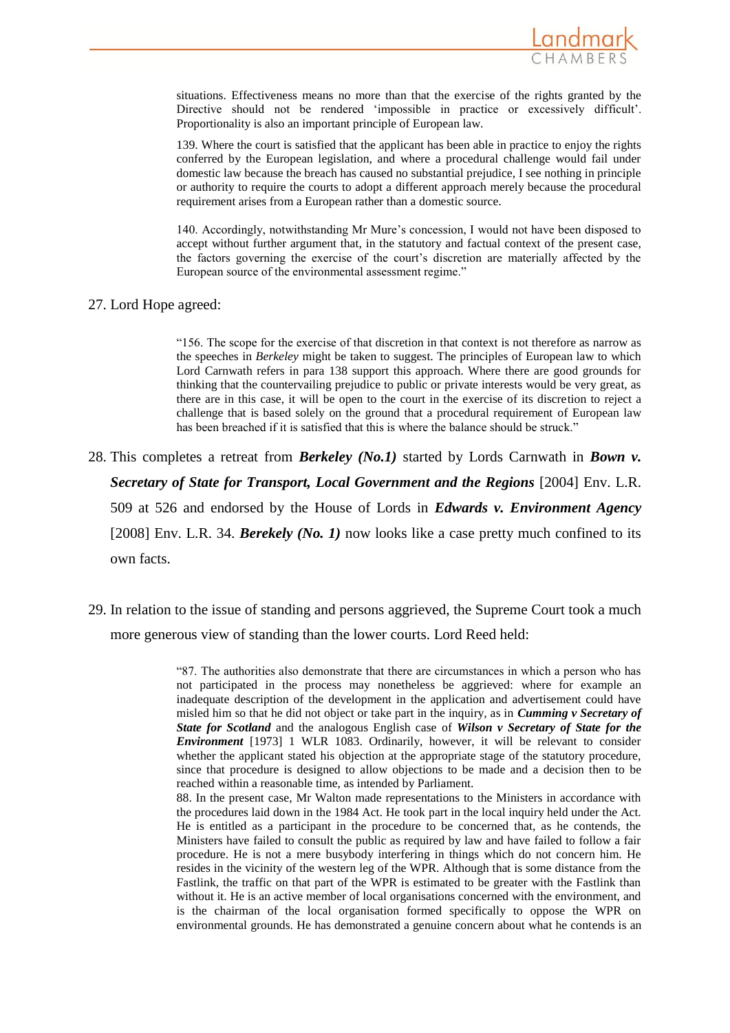

situations. Effectiveness means no more than that the exercise of the rights granted by the Directive should not be rendered 'impossible in practice or excessively difficult'. Proportionality is also an important principle of European law.

139. Where the court is satisfied that the applicant has been able in practice to enjoy the rights conferred by the European legislation, and where a procedural challenge would fail under domestic law because the breach has caused no substantial prejudice, I see nothing in principle or authority to require the courts to adopt a different approach merely because the procedural requirement arises from a European rather than a domestic source.

140. Accordingly, notwithstanding Mr Mure's concession, I would not have been disposed to accept without further argument that, in the statutory and factual context of the present case, the factors governing the exercise of the court's discretion are materially affected by the European source of the environmental assessment regime."

#### 27. Lord Hope agreed:

"156. The scope for the exercise of that discretion in that context is not therefore as narrow as the speeches in *Berkeley* might be taken to suggest. The principles of European law to which Lord Carnwath refers in para 138 support this approach. Where there are good grounds for thinking that the countervailing prejudice to public or private interests would be very great, as there are in this case, it will be open to the court in the exercise of its discretion to reject a challenge that is based solely on the ground that a procedural requirement of European law has been breached if it is satisfied that this is where the balance should be struck."

28. This completes a retreat from *Berkeley (No.1)* started by Lords Carnwath in *Bown v. Secretary of State for Transport, Local Government and the Regions* [2004] Env. L.R. 509 at 526 and endorsed by the House of Lords in *Edwards v. Environment Agency* [2008] Env. L.R. 34. *Berekely (No. 1)* now looks like a case pretty much confined to its own facts.

29. In relation to the issue of standing and persons aggrieved, the Supreme Court took a much more generous view of standing than the lower courts. Lord Reed held:

> "87. The authorities also demonstrate that there are circumstances in which a person who has not participated in the process may nonetheless be aggrieved: where for example an inadequate description of the development in the application and advertisement could have misled him so that he did not object or take part in the inquiry, as in *Cumming v Secretary of State for Scotland* and the analogous English case of *Wilson v Secretary of State for the Environment* [1973] 1 WLR 1083. Ordinarily, however, it will be relevant to consider whether the applicant stated his objection at the appropriate stage of the statutory procedure, since that procedure is designed to allow objections to be made and a decision then to be reached within a reasonable time, as intended by Parliament.

> 88. In the present case, Mr Walton made representations to the Ministers in accordance with the procedures laid down in the 1984 Act. He took part in the local inquiry held under the Act. He is entitled as a participant in the procedure to be concerned that, as he contends, the Ministers have failed to consult the public as required by law and have failed to follow a fair procedure. He is not a mere busybody interfering in things which do not concern him. He resides in the vicinity of the western leg of the WPR. Although that is some distance from the Fastlink, the traffic on that part of the WPR is estimated to be greater with the Fastlink than without it. He is an active member of local organisations concerned with the environment, and is the chairman of the local organisation formed specifically to oppose the WPR on environmental grounds. He has demonstrated a genuine concern about what he contends is an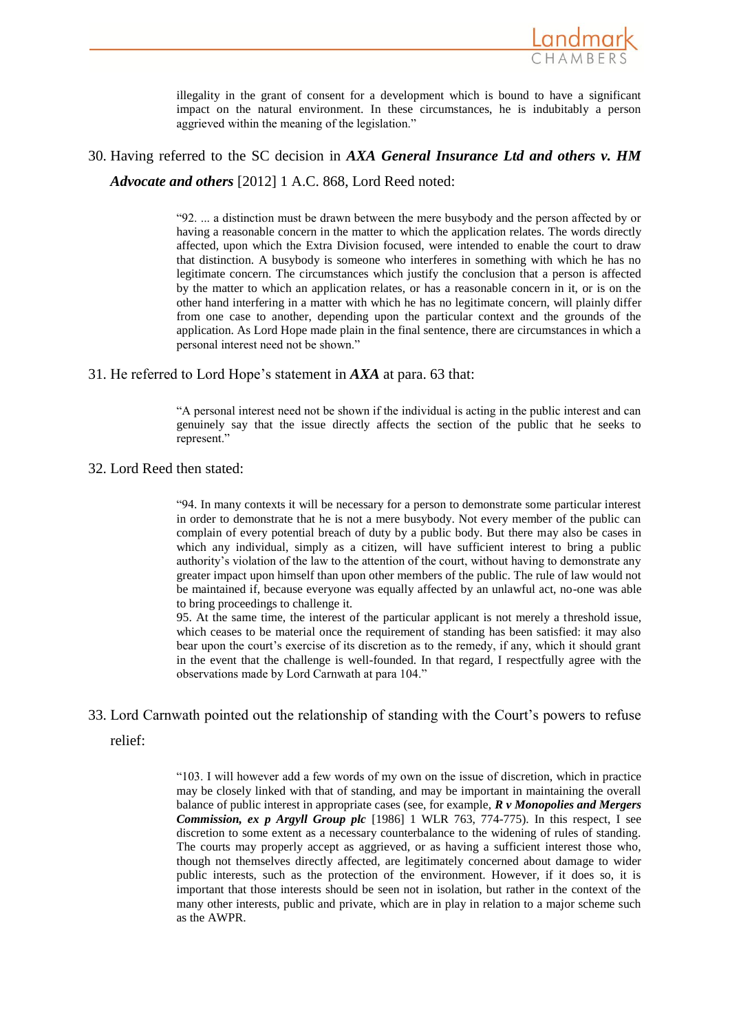

illegality in the grant of consent for a development which is bound to have a significant impact on the natural environment. In these circumstances, he is indubitably a person aggrieved within the meaning of the legislation."

## 30. Having referred to the SC decision in *AXA General Insurance Ltd and others v. HM Advocate and others* [2012] 1 A.C. 868, Lord Reed noted:

"92. ... a distinction must be drawn between the mere busybody and the person affected by or having a reasonable concern in the matter to which the application relates. The words directly affected, upon which the Extra Division focused, were intended to enable the court to draw that distinction. A busybody is someone who interferes in something with which he has no legitimate concern. The circumstances which justify the conclusion that a person is affected by the matter to which an application relates, or has a reasonable concern in it, or is on the other hand interfering in a matter with which he has no legitimate concern, will plainly differ from one case to another, depending upon the particular context and the grounds of the application. As Lord Hope made plain in the final sentence, there are circumstances in which a personal interest need not be shown."

#### 31. He referred to Lord Hope's statement in *AXA* at para. 63 that:

"A personal interest need not be shown if the individual is acting in the public interest and can genuinely say that the issue directly affects the section of the public that he seeks to represent."

#### 32. Lord Reed then stated:

"94. In many contexts it will be necessary for a person to demonstrate some particular interest in order to demonstrate that he is not a mere busybody. Not every member of the public can complain of every potential breach of duty by a public body. But there may also be cases in which any individual, simply as a citizen, will have sufficient interest to bring a public authority's violation of the law to the attention of the court, without having to demonstrate any greater impact upon himself than upon other members of the public. The rule of law would not be maintained if, because everyone was equally affected by an unlawful act, no-one was able to bring proceedings to challenge it.

95. At the same time, the interest of the particular applicant is not merely a threshold issue, which ceases to be material once the requirement of standing has been satisfied: it may also bear upon the court's exercise of its discretion as to the remedy, if any, which it should grant in the event that the challenge is well-founded. In that regard, I respectfully agree with the observations made by Lord Carnwath at para 104."

## 33. Lord Carnwath pointed out the relationship of standing with the Court's powers to refuse

relief:

"103. I will however add a few words of my own on the issue of discretion, which in practice may be closely linked with that of standing, and may be important in maintaining the overall balance of public interest in appropriate cases (see, for example, *R v Monopolies and Mergers Commission, ex p Argyll Group plc* [1986] 1 WLR 763, 774-775). In this respect, I see discretion to some extent as a necessary counterbalance to the widening of rules of standing. The courts may properly accept as aggrieved, or as having a sufficient interest those who, though not themselves directly affected, are legitimately concerned about damage to wider public interests, such as the protection of the environment. However, if it does so, it is important that those interests should be seen not in isolation, but rather in the context of the many other interests, public and private, which are in play in relation to a major scheme such as the AWPR.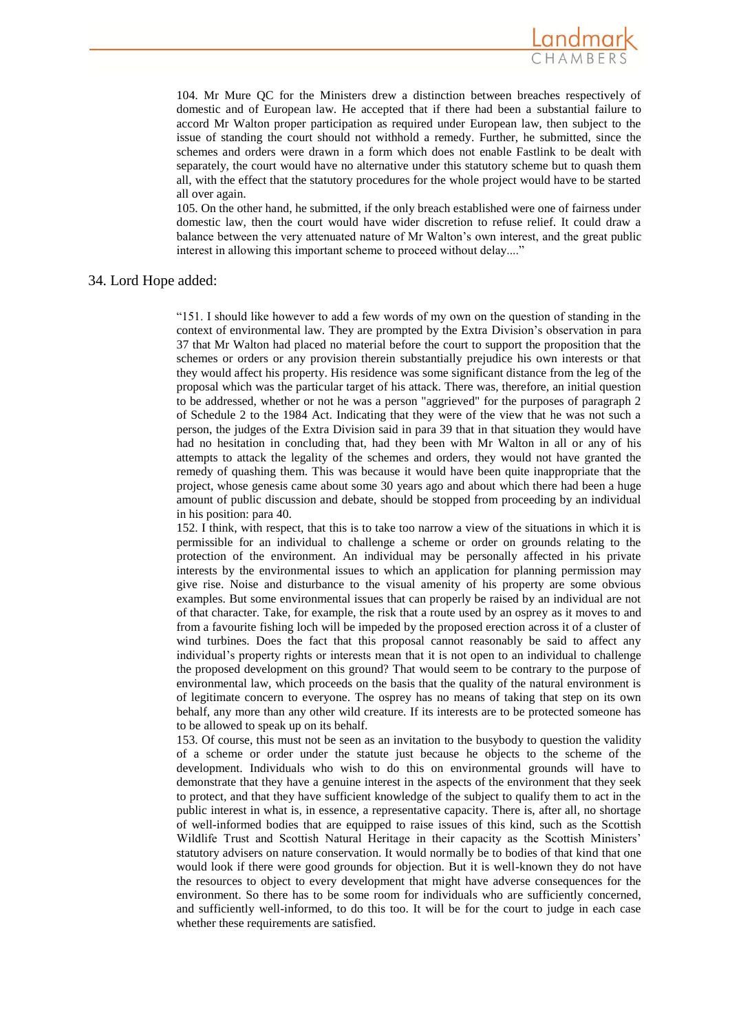

104. Mr Mure QC for the Ministers drew a distinction between breaches respectively of domestic and of European law. He accepted that if there had been a substantial failure to accord Mr Walton proper participation as required under European law, then subject to the issue of standing the court should not withhold a remedy. Further, he submitted, since the schemes and orders were drawn in a form which does not enable Fastlink to be dealt with separately, the court would have no alternative under this statutory scheme but to quash them all, with the effect that the statutory procedures for the whole project would have to be started all over again.

105. On the other hand, he submitted, if the only breach established were one of fairness under domestic law, then the court would have wider discretion to refuse relief. It could draw a balance between the very attenuated nature of Mr Walton's own interest, and the great public interest in allowing this important scheme to proceed without delay...."

#### 34. Lord Hope added:

"151. I should like however to add a few words of my own on the question of standing in the context of environmental law. They are prompted by the Extra Division's observation in para 37 that Mr Walton had placed no material before the court to support the proposition that the schemes or orders or any provision therein substantially prejudice his own interests or that they would affect his property. His residence was some significant distance from the leg of the proposal which was the particular target of his attack. There was, therefore, an initial question to be addressed, whether or not he was a person "aggrieved" for the purposes of paragraph 2 of Schedule 2 to the 1984 Act. Indicating that they were of the view that he was not such a person, the judges of the Extra Division said in para 39 that in that situation they would have had no hesitation in concluding that, had they been with Mr Walton in all or any of his attempts to attack the legality of the schemes and orders, they would not have granted the remedy of quashing them. This was because it would have been quite inappropriate that the project, whose genesis came about some 30 years ago and about which there had been a huge amount of public discussion and debate, should be stopped from proceeding by an individual in his position: para 40.

152. I think, with respect, that this is to take too narrow a view of the situations in which it is permissible for an individual to challenge a scheme or order on grounds relating to the protection of the environment. An individual may be personally affected in his private interests by the environmental issues to which an application for planning permission may give rise. Noise and disturbance to the visual amenity of his property are some obvious examples. But some environmental issues that can properly be raised by an individual are not of that character. Take, for example, the risk that a route used by an osprey as it moves to and from a favourite fishing loch will be impeded by the proposed erection across it of a cluster of wind turbines. Does the fact that this proposal cannot reasonably be said to affect any individual's property rights or interests mean that it is not open to an individual to challenge the proposed development on this ground? That would seem to be contrary to the purpose of environmental law, which proceeds on the basis that the quality of the natural environment is of legitimate concern to everyone. The osprey has no means of taking that step on its own behalf, any more than any other wild creature. If its interests are to be protected someone has to be allowed to speak up on its behalf.

153. Of course, this must not be seen as an invitation to the busybody to question the validity of a scheme or order under the statute just because he objects to the scheme of the development. Individuals who wish to do this on environmental grounds will have to demonstrate that they have a genuine interest in the aspects of the environment that they seek to protect, and that they have sufficient knowledge of the subject to qualify them to act in the public interest in what is, in essence, a representative capacity. There is, after all, no shortage of well-informed bodies that are equipped to raise issues of this kind, such as the Scottish Wildlife Trust and Scottish Natural Heritage in their capacity as the Scottish Ministers' statutory advisers on nature conservation. It would normally be to bodies of that kind that one would look if there were good grounds for objection. But it is well-known they do not have the resources to object to every development that might have adverse consequences for the environment. So there has to be some room for individuals who are sufficiently concerned, and sufficiently well-informed, to do this too. It will be for the court to judge in each case whether these requirements are satisfied.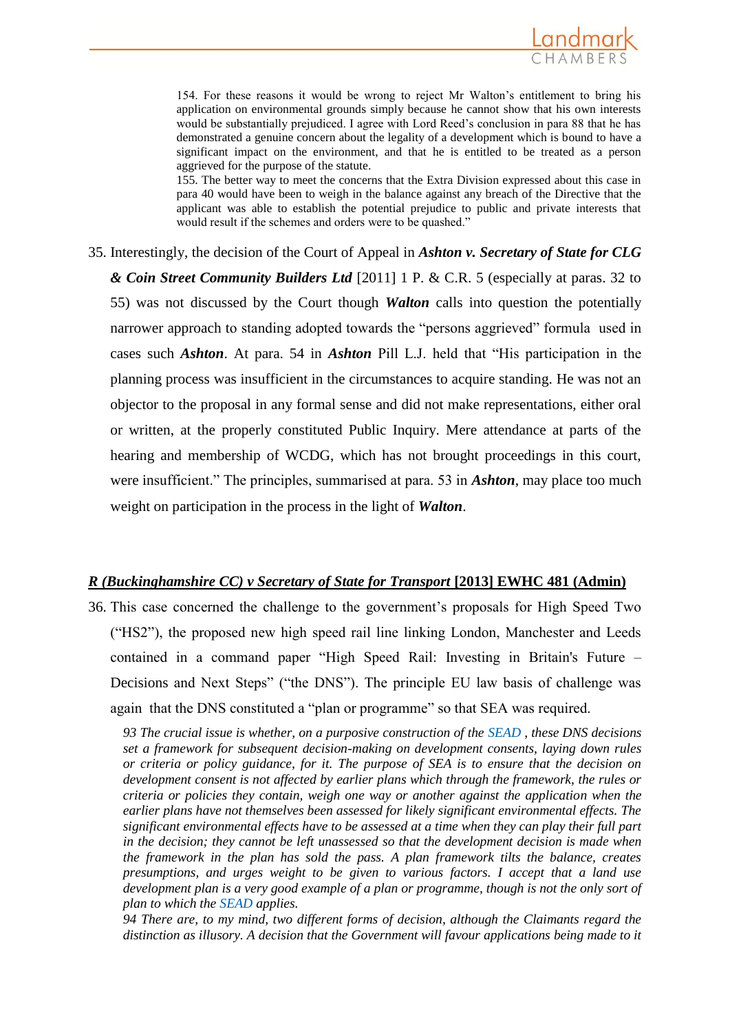

154. For these reasons it would be wrong to reject Mr Walton's entitlement to bring his application on environmental grounds simply because he cannot show that his own interests would be substantially prejudiced. I agree with Lord Reed's conclusion in para 88 that he has demonstrated a genuine concern about the legality of a development which is bound to have a significant impact on the environment, and that he is entitled to be treated as a person aggrieved for the purpose of the statute.

155. The better way to meet the concerns that the Extra Division expressed about this case in para 40 would have been to weigh in the balance against any breach of the Directive that the applicant was able to establish the potential prejudice to public and private interests that would result if the schemes and orders were to be quashed."

35. Interestingly, the decision of the Court of Appeal in *Ashton v. Secretary of State for CLG & Coin Street Community Builders Ltd* [2011] 1 P. & C.R. 5 (especially at paras. 32 to 55) was not discussed by the Court though *Walton* calls into question the potentially narrower approach to standing adopted towards the "persons aggrieved" formula used in cases such *Ashton*. At para. 54 in *Ashton* Pill L.J. held that "His participation in the planning process was insufficient in the circumstances to acquire standing. He was not an objector to the proposal in any formal sense and did not make representations, either oral or written, at the properly constituted Public Inquiry. Mere attendance at parts of the hearing and membership of WCDG, which has not brought proceedings in this court, were insufficient." The principles, summarised at para. 53 in *Ashton*, may place too much weight on participation in the process in the light of *Walton*.

#### *R (Buckinghamshire CC) v Secretary of State for Transport* **[2013] EWHC 481 (Admin)**

36. This case concerned the challenge to the government's proposals for High Speed Two ("HS2"), the proposed new high speed rail line linking London, Manchester and Leeds contained in a command paper "High Speed Rail: Investing in Britain's Future – Decisions and Next Steps" ("the DNS"). The principle EU law basis of challenge was again that the DNS constituted a "plan or programme" so that SEA was required.

*93 The crucial issue is whether, on a purposive construction of the [SEAD](http://login.westlaw.co.uk/maf/wluk/app/document?src=doc&linktype=ref&&context=43&crumb-action=replace&docguid=IE0472C1BFA5B484CBE79F6019623D35E) , these DNS decisions set a framework for subsequent decision-making on development consents, laying down rules or criteria or policy guidance, for it. The purpose of SEA is to ensure that the decision on development consent is not affected by earlier plans which through the framework, the rules or criteria or policies they contain, weigh one way or another against the application when the earlier plans have not themselves been assessed for likely significant environmental effects. The significant environmental effects have to be assessed at a time when they can play their full part in the decision; they cannot be left unassessed so that the development decision is made when the framework in the plan has sold the pass. A plan framework tilts the balance, creates presumptions, and urges weight to be given to various factors. I accept that a land use development plan is a very good example of a plan or programme, though is not the only sort of plan to which the [SEAD](http://login.westlaw.co.uk/maf/wluk/app/document?src=doc&linktype=ref&&context=43&crumb-action=replace&docguid=IE0472C1BFA5B484CBE79F6019623D35E) applies.* 

*94 There are, to my mind, two different forms of decision, although the Claimants regard the distinction as illusory. A decision that the Government will favour applications being made to it*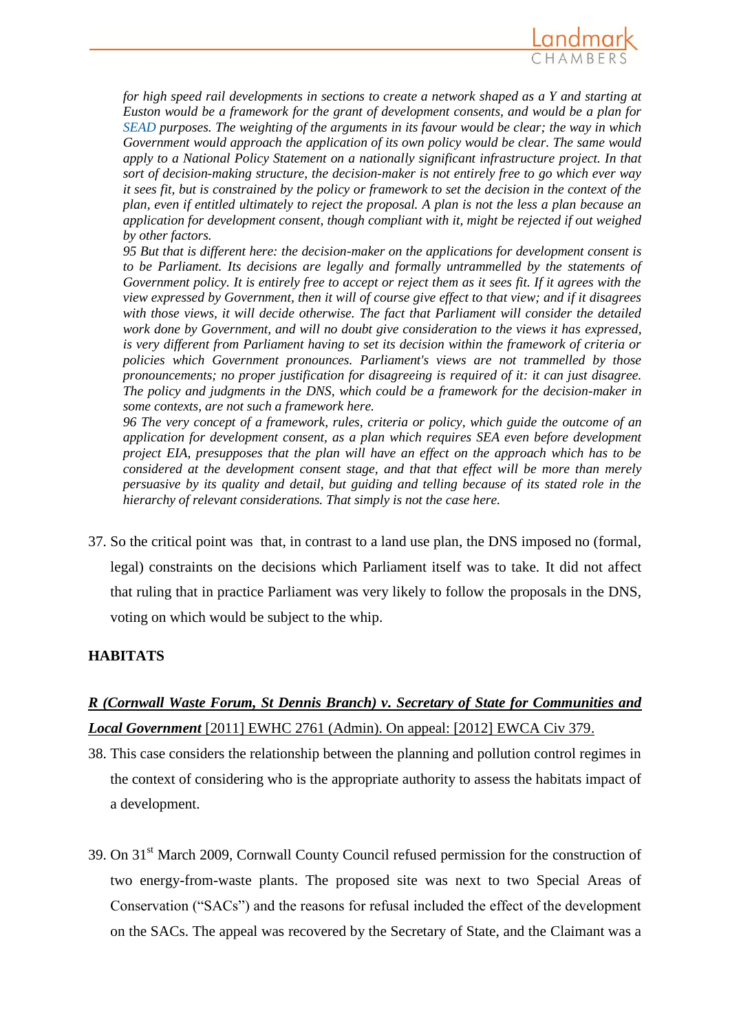

*for high speed rail developments in sections to create a network shaped as a Y and starting at Euston would be a framework for the grant of development consents, and would be a plan for [SEAD](http://login.westlaw.co.uk/maf/wluk/app/document?src=doc&linktype=ref&&context=43&crumb-action=replace&docguid=IE0472C1BFA5B484CBE79F6019623D35E) purposes. The weighting of the arguments in its favour would be clear; the way in which Government would approach the application of its own policy would be clear. The same would apply to a National Policy Statement on a nationally significant infrastructure project. In that sort of decision-making structure, the decision-maker is not entirely free to go which ever way it sees fit, but is constrained by the policy or framework to set the decision in the context of the plan, even if entitled ultimately to reject the proposal. A plan is not the less a plan because an application for development consent, though compliant with it, might be rejected if out weighed by other factors.* 

*95 But that is different here: the decision-maker on the applications for development consent is to be Parliament. Its decisions are legally and formally untrammelled by the statements of Government policy. It is entirely free to accept or reject them as it sees fit. If it agrees with the view expressed by Government, then it will of course give effect to that view; and if it disagrees with those views, it will decide otherwise. The fact that Parliament will consider the detailed work done by Government, and will no doubt give consideration to the views it has expressed, is very different from Parliament having to set its decision within the framework of criteria or policies which Government pronounces. Parliament's views are not trammelled by those pronouncements; no proper justification for disagreeing is required of it: it can just disagree. The policy and judgments in the DNS, which could be a framework for the decision-maker in some contexts, are not such a framework here.*

*96 The very concept of a framework, rules, criteria or policy, which guide the outcome of an application for development consent, as a plan which requires SEA even before development project EIA, presupposes that the plan will have an effect on the approach which has to be considered at the development consent stage, and that that effect will be more than merely persuasive by its quality and detail, but guiding and telling because of its stated role in the hierarchy of relevant considerations. That simply is not the case here.*

37. So the critical point was that, in contrast to a land use plan, the DNS imposed no (formal, legal) constraints on the decisions which Parliament itself was to take. It did not affect that ruling that in practice Parliament was very likely to follow the proposals in the DNS, voting on which would be subject to the whip.

## **HABITATS**

# *R (Cornwall Waste Forum, St Dennis Branch) v. Secretary of State for Communities and Local Government* [2011] EWHC 2761 (Admin). On appeal: [2012] EWCA Civ 379.

- 38. This case considers the relationship between the planning and pollution control regimes in the context of considering who is the appropriate authority to assess the habitats impact of a development.
- 39. On 31<sup>st</sup> March 2009, Cornwall County Council refused permission for the construction of two energy-from-waste plants. The proposed site was next to two Special Areas of Conservation ("SACs") and the reasons for refusal included the effect of the development on the SACs. The appeal was recovered by the Secretary of State, and the Claimant was a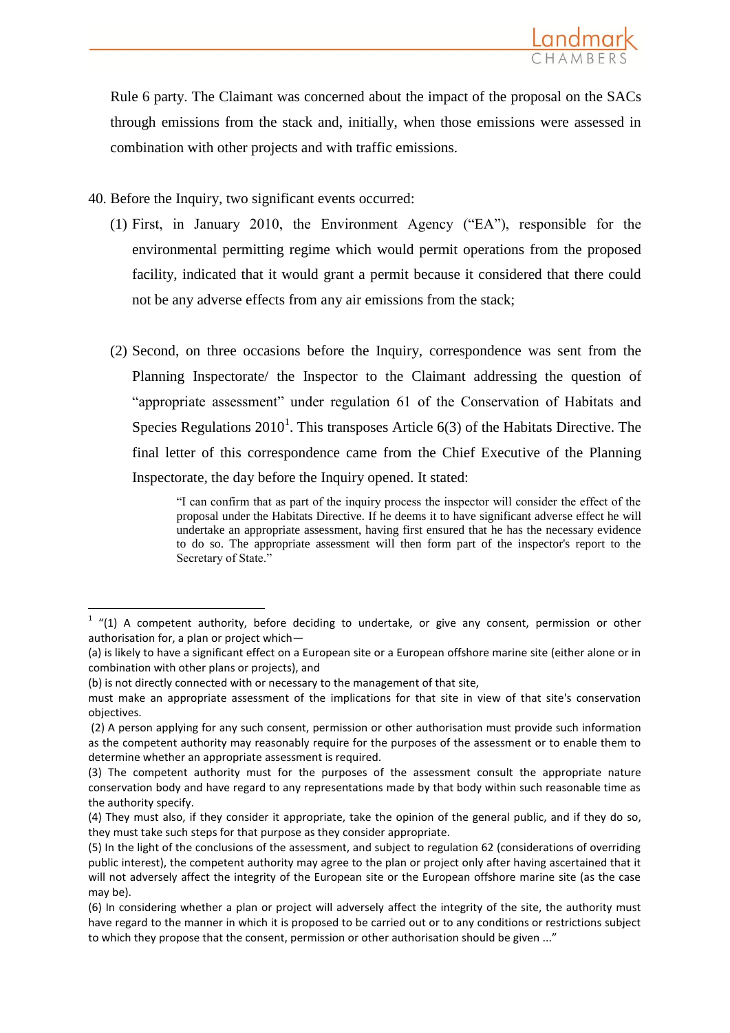Rule 6 party. The Claimant was concerned about the impact of the proposal on the SACs through emissions from the stack and, initially, when those emissions were assessed in combination with other projects and with traffic emissions.

- 40. Before the Inquiry, two significant events occurred:
	- (1) First, in January 2010, the Environment Agency ("EA"), responsible for the environmental permitting regime which would permit operations from the proposed facility, indicated that it would grant a permit because it considered that there could not be any adverse effects from any air emissions from the stack;
	- (2) Second, on three occasions before the Inquiry, correspondence was sent from the Planning Inspectorate/ the Inspector to the Claimant addressing the question of "appropriate assessment" under regulation 61 of the Conservation of Habitats and Species Regulations  $2010<sup>1</sup>$ . This transposes Article 6(3) of the Habitats Directive. The final letter of this correspondence came from the Chief Executive of the Planning Inspectorate, the day before the Inquiry opened. It stated:

<u>.</u>

<sup>&</sup>quot;I can confirm that as part of the inquiry process the inspector will consider the effect of the proposal under the Habitats Directive. If he deems it to have significant adverse effect he will undertake an appropriate assessment, having first ensured that he has the necessary evidence to do so. The appropriate assessment will then form part of the inspector's report to the Secretary of State."

 $1$  "(1) A competent authority, before deciding to undertake, or give any consent, permission or other authorisation for, a plan or project which—

<sup>(</sup>a) is likely to have a significant effect on a European site or a European offshore marine site (either alone or in combination with other plans or projects), and

<sup>(</sup>b) is not directly connected with or necessary to the management of that site,

must make an appropriate assessment of the implications for that site in view of that site's conservation objectives.

<sup>(2)</sup> A person applying for any such consent, permission or other authorisation must provide such information as the competent authority may reasonably require for the purposes of the assessment or to enable them to determine whether an appropriate assessment is required.

<sup>(3)</sup> The competent authority must for the purposes of the assessment consult the appropriate nature conservation body and have regard to any representations made by that body within such reasonable time as the authority specify.

<sup>(4)</sup> They must also, if they consider it appropriate, take the opinion of the general public, and if they do so, they must take such steps for that purpose as they consider appropriate.

<sup>(5)</sup> In the light of the conclusions of the assessment, and subject to regulation 62 (considerations of overriding public interest), the competent authority may agree to the plan or project only after having ascertained that it will not adversely affect the integrity of the European site or the European offshore marine site (as the case may be).

<sup>(6)</sup> In considering whether a plan or project will adversely affect the integrity of the site, the authority must have regard to the manner in which it is proposed to be carried out or to any conditions or restrictions subject to which they propose that the consent, permission or other authorisation should be given ..."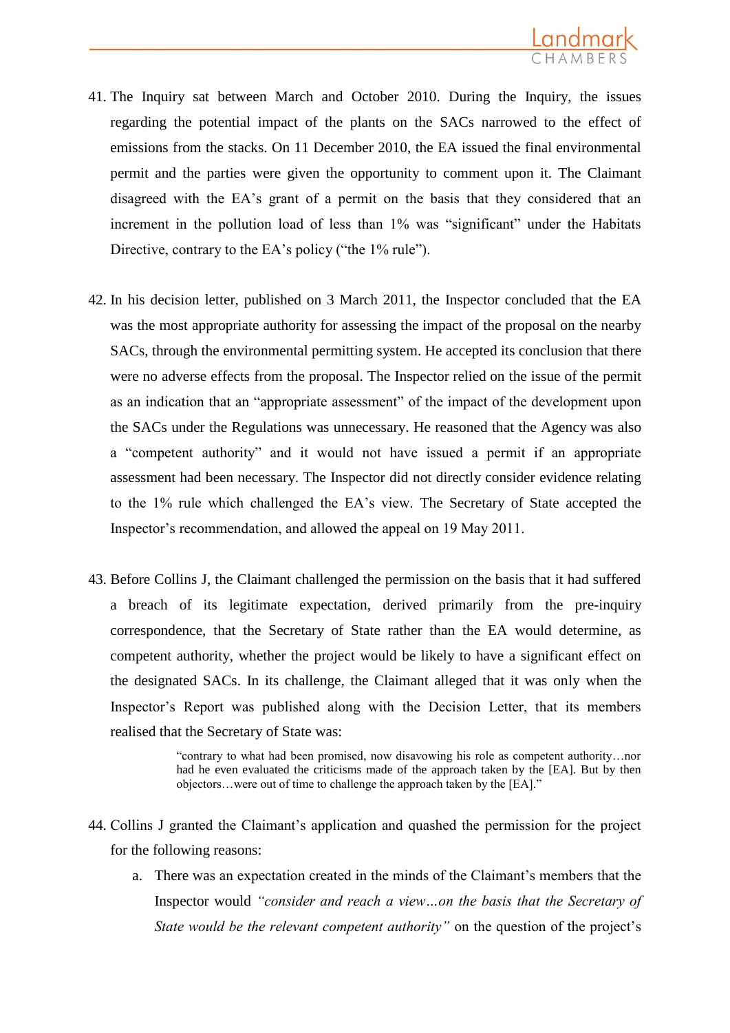

- 41. The Inquiry sat between March and October 2010. During the Inquiry, the issues regarding the potential impact of the plants on the SACs narrowed to the effect of emissions from the stacks. On 11 December 2010, the EA issued the final environmental permit and the parties were given the opportunity to comment upon it. The Claimant disagreed with the EA's grant of a permit on the basis that they considered that an increment in the pollution load of less than 1% was "significant" under the Habitats Directive, contrary to the EA's policy ("the 1% rule").
- 42. In his decision letter, published on 3 March 2011, the Inspector concluded that the EA was the most appropriate authority for assessing the impact of the proposal on the nearby SACs, through the environmental permitting system. He accepted its conclusion that there were no adverse effects from the proposal. The Inspector relied on the issue of the permit as an indication that an "appropriate assessment" of the impact of the development upon the SACs under the Regulations was unnecessary. He reasoned that the Agency was also a "competent authority" and it would not have issued a permit if an appropriate assessment had been necessary. The Inspector did not directly consider evidence relating to the 1% rule which challenged the EA's view. The Secretary of State accepted the Inspector's recommendation, and allowed the appeal on 19 May 2011.
- 43. Before Collins J, the Claimant challenged the permission on the basis that it had suffered a breach of its legitimate expectation, derived primarily from the pre-inquiry correspondence, that the Secretary of State rather than the EA would determine, as competent authority, whether the project would be likely to have a significant effect on the designated SACs. In its challenge, the Claimant alleged that it was only when the Inspector's Report was published along with the Decision Letter, that its members realised that the Secretary of State was:

"contrary to what had been promised, now disavowing his role as competent authority…nor had he even evaluated the criticisms made of the approach taken by the [EA]. But by then objectors…were out of time to challenge the approach taken by the [EA]."

- 44. Collins J granted the Claimant's application and quashed the permission for the project for the following reasons:
	- a. There was an expectation created in the minds of the Claimant's members that the Inspector would *"consider and reach a view…on the basis that the Secretary of State would be the relevant competent authority"* on the question of the project's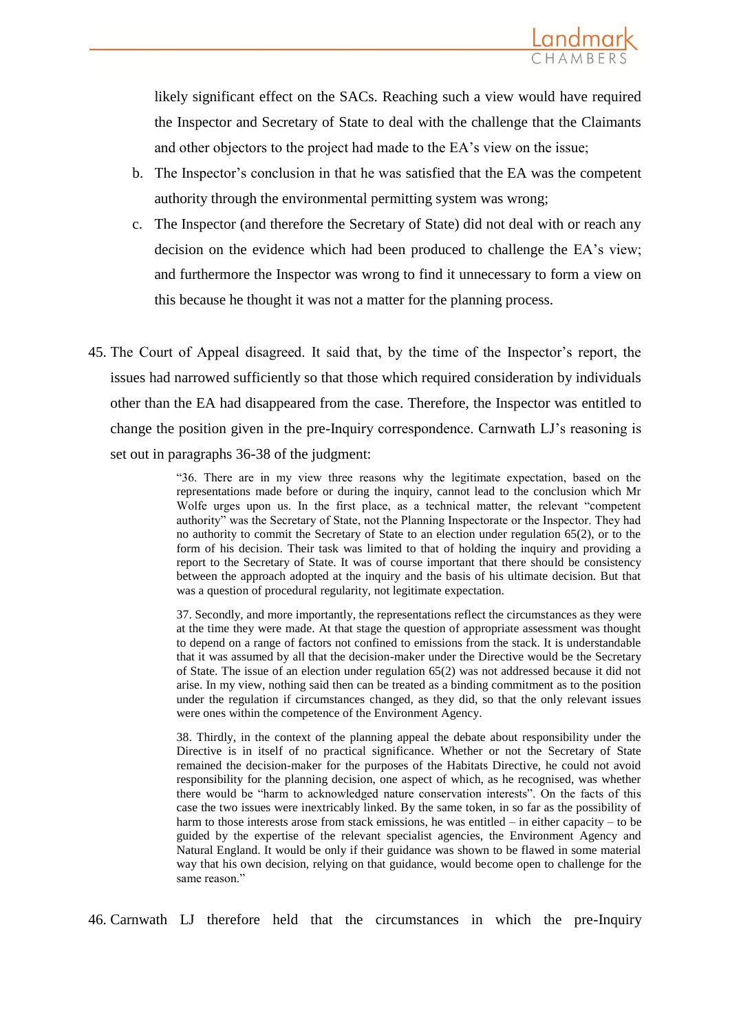

likely significant effect on the SACs. Reaching such a view would have required the Inspector and Secretary of State to deal with the challenge that the Claimants and other objectors to the project had made to the EA's view on the issue;

- b. The Inspector's conclusion in that he was satisfied that the EA was the competent authority through the environmental permitting system was wrong;
- c. The Inspector (and therefore the Secretary of State) did not deal with or reach any decision on the evidence which had been produced to challenge the EA's view; and furthermore the Inspector was wrong to find it unnecessary to form a view on this because he thought it was not a matter for the planning process.
- 45. The Court of Appeal disagreed. It said that, by the time of the Inspector's report, the issues had narrowed sufficiently so that those which required consideration by individuals other than the EA had disappeared from the case. Therefore, the Inspector was entitled to change the position given in the pre-Inquiry correspondence. Carnwath LJ's reasoning is set out in paragraphs 36-38 of the judgment:

"36. There are in my view three reasons why the legitimate expectation, based on the representations made before or during the inquiry, cannot lead to the conclusion which Mr Wolfe urges upon us. In the first place, as a technical matter, the relevant "competent authority" was the Secretary of State, not the Planning Inspectorate or the Inspector. They had no authority to commit the Secretary of State to an election under regulation 65(2), or to the form of his decision. Their task was limited to that of holding the inquiry and providing a report to the Secretary of State. It was of course important that there should be consistency between the approach adopted at the inquiry and the basis of his ultimate decision. But that was a question of procedural regularity, not legitimate expectation.

37. Secondly, and more importantly, the representations reflect the circumstances as they were at the time they were made. At that stage the question of appropriate assessment was thought to depend on a range of factors not confined to emissions from the stack. It is understandable that it was assumed by all that the decision-maker under the Directive would be the Secretary of State. The issue of an election under regulation 65(2) was not addressed because it did not arise. In my view, nothing said then can be treated as a binding commitment as to the position under the regulation if circumstances changed, as they did, so that the only relevant issues were ones within the competence of the Environment Agency.

38. Thirdly, in the context of the planning appeal the debate about responsibility under the Directive is in itself of no practical significance. Whether or not the Secretary of State remained the decision-maker for the purposes of the Habitats Directive, he could not avoid responsibility for the planning decision, one aspect of which, as he recognised, was whether there would be "harm to acknowledged nature conservation interests". On the facts of this case the two issues were inextricably linked. By the same token, in so far as the possibility of harm to those interests arose from stack emissions, he was entitled – in either capacity – to be guided by the expertise of the relevant specialist agencies, the Environment Agency and Natural England. It would be only if their guidance was shown to be flawed in some material way that his own decision, relying on that guidance, would become open to challenge for the same reason."

46. Carnwath LJ therefore held that the circumstances in which the pre-Inquiry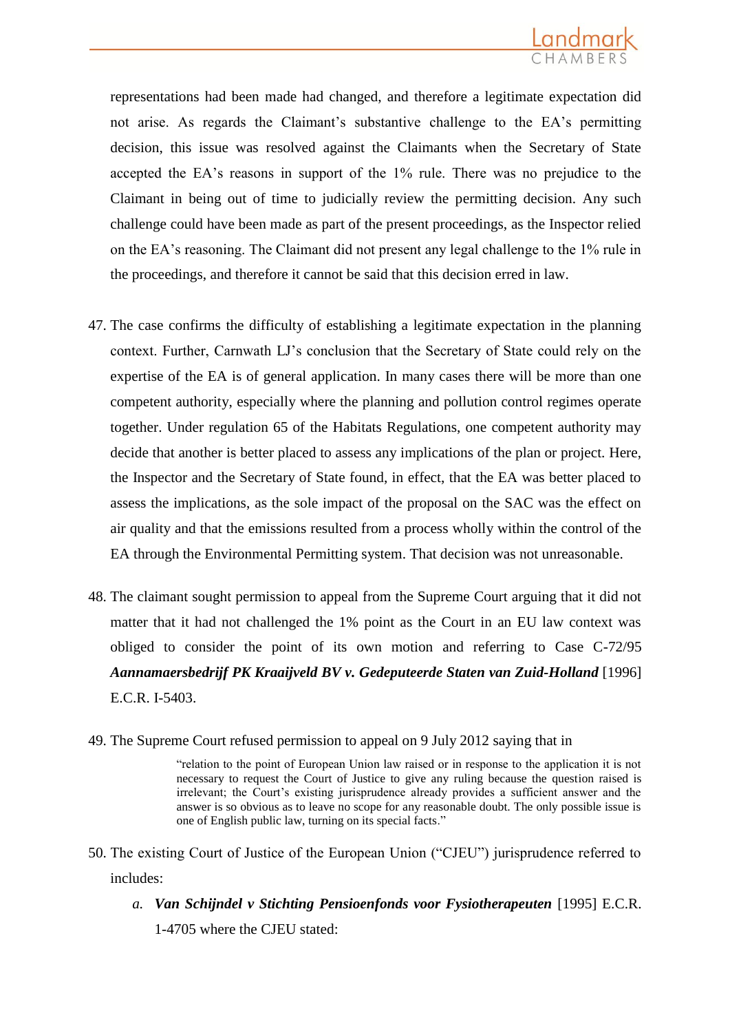

representations had been made had changed, and therefore a legitimate expectation did not arise. As regards the Claimant's substantive challenge to the EA's permitting decision, this issue was resolved against the Claimants when the Secretary of State accepted the EA's reasons in support of the 1% rule. There was no prejudice to the Claimant in being out of time to judicially review the permitting decision. Any such challenge could have been made as part of the present proceedings, as the Inspector relied on the EA's reasoning. The Claimant did not present any legal challenge to the 1% rule in the proceedings, and therefore it cannot be said that this decision erred in law.

- 47. The case confirms the difficulty of establishing a legitimate expectation in the planning context. Further, Carnwath LJ's conclusion that the Secretary of State could rely on the expertise of the EA is of general application. In many cases there will be more than one competent authority, especially where the planning and pollution control regimes operate together. Under regulation 65 of the Habitats Regulations, one competent authority may decide that another is better placed to assess any implications of the plan or project. Here, the Inspector and the Secretary of State found, in effect, that the EA was better placed to assess the implications, as the sole impact of the proposal on the SAC was the effect on air quality and that the emissions resulted from a process wholly within the control of the EA through the Environmental Permitting system. That decision was not unreasonable.
- 48. The claimant sought permission to appeal from the Supreme Court arguing that it did not matter that it had not challenged the 1% point as the Court in an EU law context was obliged to consider the point of its own motion and referring to Case C-72/95 *Aannamaersbedrijf PK Kraaijveld BV v. Gedeputeerde Staten van Zuid-Holland* [1996] E.C.R. I-5403.
- 49. The Supreme Court refused permission to appeal on 9 July 2012 saying that in

"relation to the point of European Union law raised or in response to the application it is not necessary to request the Court of Justice to give any ruling because the question raised is irrelevant; the Court's existing jurisprudence already provides a sufficient answer and the answer is so obvious as to leave no scope for any reasonable doubt. The only possible issue is one of English public law, turning on its special facts."

- 50. The existing Court of Justice of the European Union ("CJEU") jurisprudence referred to includes:
	- *a. Van Schijndel v Stichting Pensioenfonds voor Fysiotherapeuten* [1995] E.C.R. 1-4705 where the CJEU stated: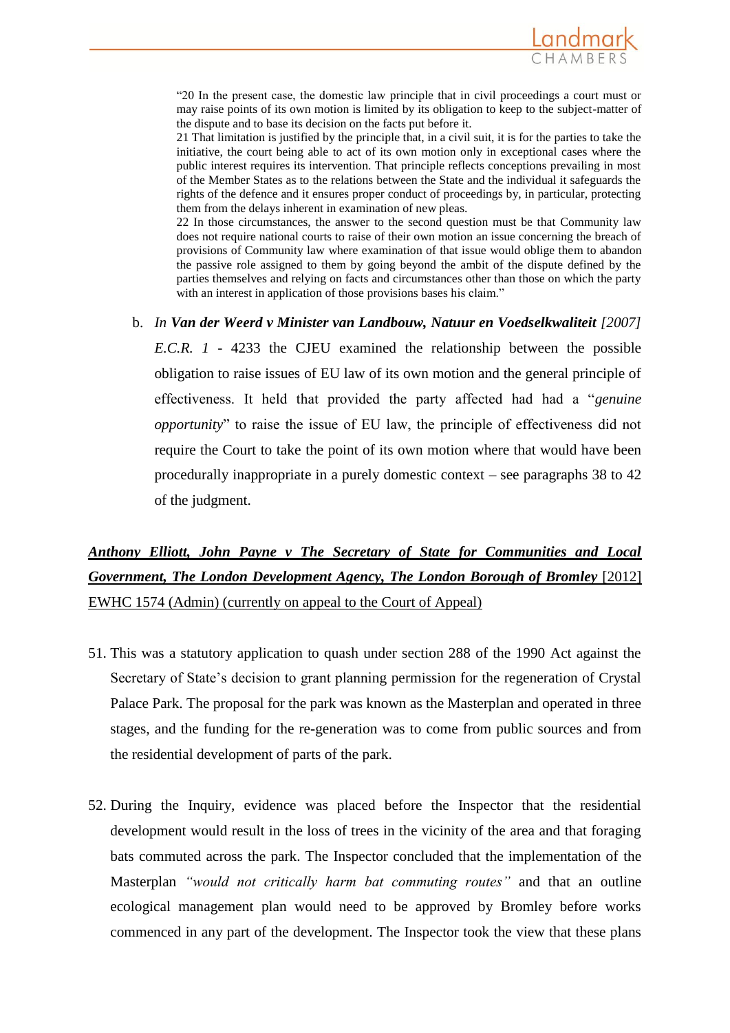

"20 In the present case, the domestic law principle that in civil proceedings a court must or may raise points of its own motion is limited by its obligation to keep to the subject-matter of the dispute and to base its decision on the facts put before it.

21 That limitation is justified by the principle that, in a civil suit, it is for the parties to take the initiative, the court being able to act of its own motion only in exceptional cases where the public interest requires its intervention. That principle reflects conceptions prevailing in most of the Member States as to the relations between the State and the individual it safeguards the rights of the defence and it ensures proper conduct of proceedings by, in particular, protecting them from the delays inherent in examination of new pleas.

22 In those circumstances, the answer to the second question must be that Community law does not require national courts to raise of their own motion an issue concerning the breach of provisions of Community law where examination of that issue would oblige them to abandon the passive role assigned to them by going beyond the ambit of the dispute defined by the parties themselves and relying on facts and circumstances other than those on which the party with an interest in application of those provisions bases his claim."

# b. *In Van der Weerd v Minister van Landbouw, Natuur en Voedselkwaliteit [2007]*

*E.C.R. 1 -* 4233 the CJEU examined the relationship between the possible obligation to raise issues of EU law of its own motion and the general principle of effectiveness. It held that provided the party affected had had a "*genuine opportunity*" to raise the issue of EU law, the principle of effectiveness did not require the Court to take the point of its own motion where that would have been procedurally inappropriate in a purely domestic context – see paragraphs 38 to 42 of the judgment.

# *Anthony Elliott, John Payne v The Secretary of State for Communities and Local Government, The London Development Agency, The London Borough of Bromley* [2012] EWHC 1574 (Admin) (currently on appeal to the Court of Appeal)

- 51. This was a statutory application to quash under section 288 of the 1990 Act against the Secretary of State's decision to grant planning permission for the regeneration of Crystal Palace Park. The proposal for the park was known as the Masterplan and operated in three stages, and the funding for the re-generation was to come from public sources and from the residential development of parts of the park.
- 52. During the Inquiry, evidence was placed before the Inspector that the residential development would result in the loss of trees in the vicinity of the area and that foraging bats commuted across the park. The Inspector concluded that the implementation of the Masterplan *"would not critically harm bat commuting routes"* and that an outline ecological management plan would need to be approved by Bromley before works commenced in any part of the development. The Inspector took the view that these plans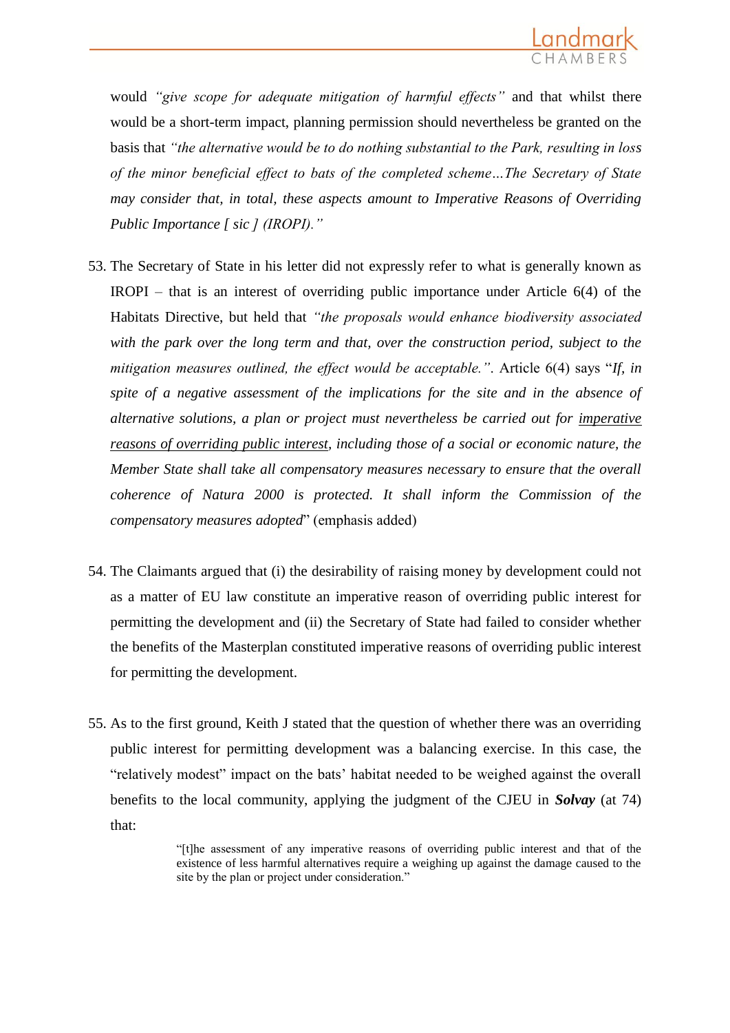

would *"give scope for adequate mitigation of harmful effects"* and that whilst there would be a short-term impact, planning permission should nevertheless be granted on the basis that *"the alternative would be to do nothing substantial to the Park, resulting in loss of the minor beneficial effect to bats of the completed scheme…The Secretary of State may consider that, in total, these aspects amount to Imperative Reasons of Overriding Public Importance [ sic ] (IROPI)."*

- 53. The Secretary of State in his letter did not expressly refer to what is generally known as IROPI – that is an interest of overriding public importance under Article 6(4) of the Habitats Directive, but held that *"the proposals would enhance biodiversity associated with the park over the long term and that, over the construction period, subject to the mitigation measures outlined, the effect would be acceptable."*. Article 6(4) says "*If, in spite of a negative assessment of the implications for the site and in the absence of alternative solutions, a plan or project must nevertheless be carried out for imperative reasons of overriding public interest, including those of a social or economic nature, the Member State shall take all compensatory measures necessary to ensure that the overall coherence of Natura 2000 is protected. It shall inform the Commission of the compensatory measures adopted*" (emphasis added)
- 54. The Claimants argued that (i) the desirability of raising money by development could not as a matter of EU law constitute an imperative reason of overriding public interest for permitting the development and (ii) the Secretary of State had failed to consider whether the benefits of the Masterplan constituted imperative reasons of overriding public interest for permitting the development.
- 55. As to the first ground, Keith J stated that the question of whether there was an overriding public interest for permitting development was a balancing exercise. In this case, the "relatively modest" impact on the bats' habitat needed to be weighed against the overall benefits to the local community, applying the judgment of the CJEU in *Solvay* (at 74) that:

"[t]he assessment of any imperative reasons of overriding public interest and that of the existence of less harmful alternatives require a weighing up against the damage caused to the site by the plan or project under consideration."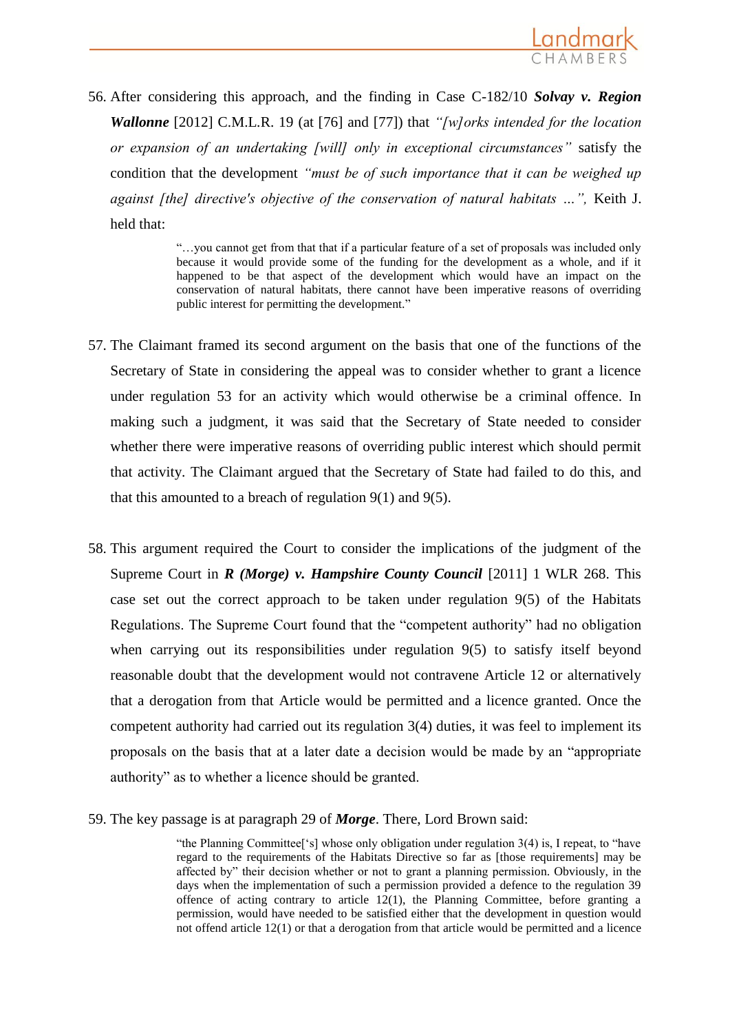

56. After considering this approach, and the finding in Case C-182/10 *Solvay v. Region Wallonne* [2012] C.M.L.R. 19 (at [76] and [77]) that *"[w]orks intended for the location or expansion of an undertaking [will] only in exceptional circumstances"* satisfy the condition that the development *"must be of such importance that it can be weighed up against [the] directive's objective of the conservation of natural habitats ...", Keith J.* held that:

> "…you cannot get from that that if a particular feature of a set of proposals was included only because it would provide some of the funding for the development as a whole, and if it happened to be that aspect of the development which would have an impact on the conservation of natural habitats, there cannot have been imperative reasons of overriding public interest for permitting the development."

- 57. The Claimant framed its second argument on the basis that one of the functions of the Secretary of State in considering the appeal was to consider whether to grant a licence under regulation 53 for an activity which would otherwise be a criminal offence. In making such a judgment, it was said that the Secretary of State needed to consider whether there were imperative reasons of overriding public interest which should permit that activity. The Claimant argued that the Secretary of State had failed to do this, and that this amounted to a breach of regulation  $9(1)$  and  $9(5)$ .
- 58. This argument required the Court to consider the implications of the judgment of the Supreme Court in *R (Morge) v. Hampshire County Council* [2011] 1 WLR 268. This case set out the correct approach to be taken under regulation 9(5) of the Habitats Regulations. The Supreme Court found that the "competent authority" had no obligation when carrying out its responsibilities under regulation 9(5) to satisfy itself beyond reasonable doubt that the development would not contravene Article 12 or alternatively that a derogation from that Article would be permitted and a licence granted. Once the competent authority had carried out its regulation 3(4) duties, it was feel to implement its proposals on the basis that at a later date a decision would be made by an "appropriate authority" as to whether a licence should be granted.
- 59. The key passage is at paragraph 29 of *Morge*. There, Lord Brown said:

"the Planning Committee['s] whose only obligation under regulation 3(4) is, I repeat, to "have regard to the requirements of the Habitats Directive so far as [those requirements] may be affected by" their decision whether or not to grant a planning permission. Obviously, in the days when the implementation of such a permission provided a defence to the regulation 39 offence of acting contrary to article  $12(1)$ , the Planning Committee, before granting a permission, would have needed to be satisfied either that the development in question would not offend article 12(1) or that a derogation from that article would be permitted and a licence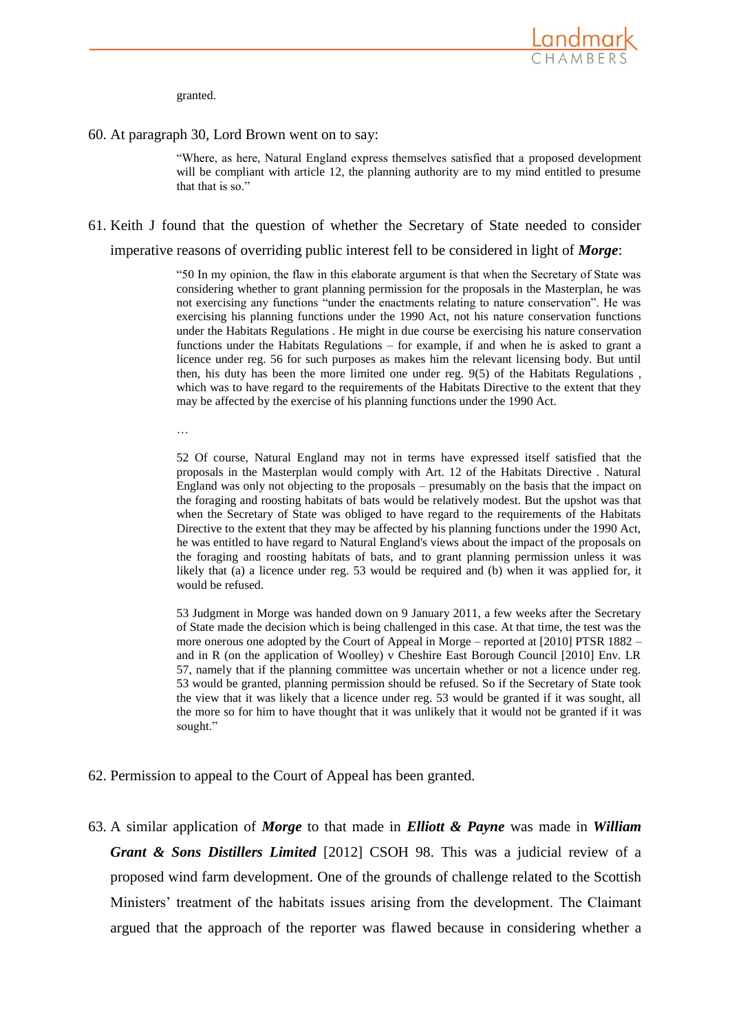

granted.

#### 60. At paragraph 30*,* Lord Brown went on to say:

"Where, as here, Natural England express themselves satisfied that a proposed development will be compliant with article 12, the planning authority are to my mind entitled to presume that that is so."

#### 61. Keith J found that the question of whether the Secretary of State needed to consider

imperative reasons of overriding public interest fell to be considered in light of *Morge*:

"50 In my opinion, the flaw in this elaborate argument is that when the Secretary of State was considering whether to grant planning permission for the proposals in the Masterplan, he was not exercising any functions "under the enactments relating to nature conservation". He was exercising his planning functions under the 1990 Act, not his nature conservation functions under the Habitats Regulations . He might in due course be exercising his nature conservation functions under the Habitats Regulations – for example, if and when he is asked to grant a licence under reg. 56 for such purposes as makes him the relevant licensing body. But until then, his duty has been the more limited one under reg. 9(5) of the Habitats Regulations , which was to have regard to the requirements of the Habitats Directive to the extent that they may be affected by the exercise of his planning functions under the 1990 Act.

…

52 Of course, Natural England may not in terms have expressed itself satisfied that the proposals in the Masterplan would comply with Art. 12 of the Habitats Directive . Natural England was only not objecting to the proposals – presumably on the basis that the impact on the foraging and roosting habitats of bats would be relatively modest. But the upshot was that when the Secretary of State was obliged to have regard to the requirements of the Habitats Directive to the extent that they may be affected by his planning functions under the 1990 Act, he was entitled to have regard to Natural England's views about the impact of the proposals on the foraging and roosting habitats of bats, and to grant planning permission unless it was likely that (a) a licence under reg. 53 would be required and (b) when it was applied for, it would be refused.

53 Judgment in Morge was handed down on 9 January 2011, a few weeks after the Secretary of State made the decision which is being challenged in this case. At that time, the test was the more onerous one adopted by the Court of Appeal in Morge – reported at [2010] PTSR 1882 – and in R (on the application of Woolley) v Cheshire East Borough Council [2010] Env. LR 57, namely that if the planning committee was uncertain whether or not a licence under reg. 53 would be granted, planning permission should be refused. So if the Secretary of State took the view that it was likely that a licence under reg. 53 would be granted if it was sought, all the more so for him to have thought that it was unlikely that it would not be granted if it was sought."

- 62. Permission to appeal to the Court of Appeal has been granted.
- 63. A similar application of *Morge* to that made in *Elliott & Payne* was made in *William Grant & Sons Distillers Limited* [2012] CSOH 98. This was a judicial review of a proposed wind farm development. One of the grounds of challenge related to the Scottish Ministers' treatment of the habitats issues arising from the development. The Claimant argued that the approach of the reporter was flawed because in considering whether a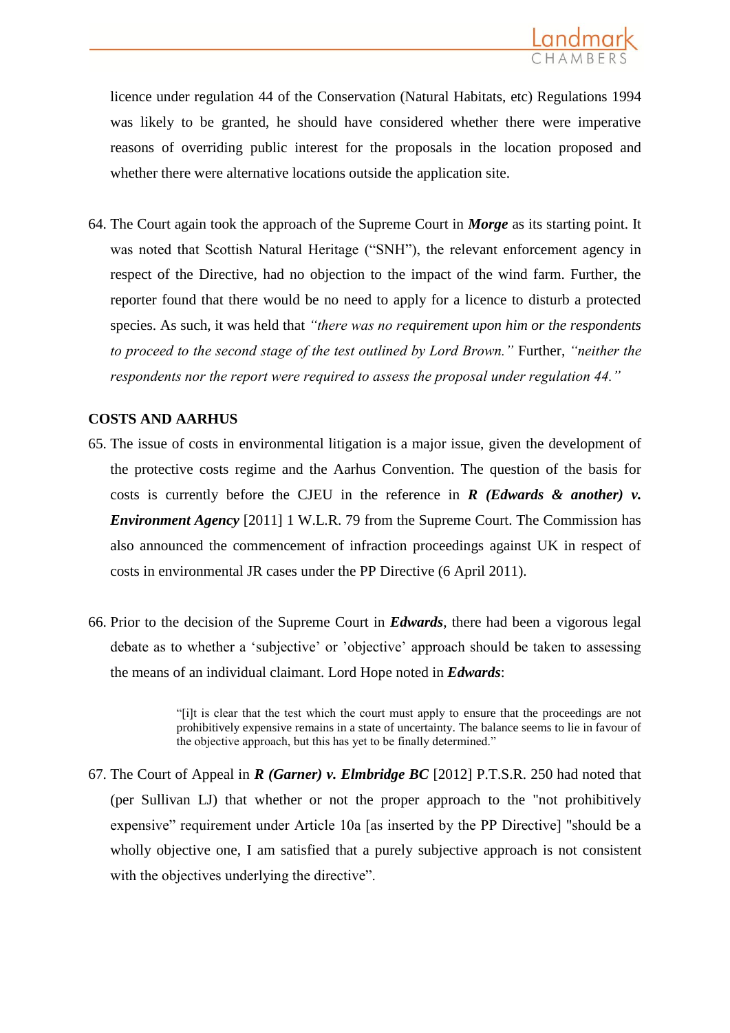

licence under regulation 44 of the Conservation (Natural Habitats, etc) Regulations 1994 was likely to be granted, he should have considered whether there were imperative reasons of overriding public interest for the proposals in the location proposed and whether there were alternative locations outside the application site.

64. The Court again took the approach of the Supreme Court in *Morge* as its starting point. It was noted that Scottish Natural Heritage ("SNH"), the relevant enforcement agency in respect of the Directive, had no objection to the impact of the wind farm. Further, the reporter found that there would be no need to apply for a licence to disturb a protected species. As such, it was held that *"there was no requirement upon him or the respondents to proceed to the second stage of the test outlined by Lord Brown."* Further, *"neither the respondents nor the report were required to assess the proposal under regulation 44."*

## **COSTS AND AARHUS**

- 65. The issue of costs in environmental litigation is a major issue, given the development of the protective costs regime and the Aarhus Convention. The question of the basis for costs is currently before the CJEU in the reference in *R (Edwards & another) v. Environment Agency* [2011] 1 W.L.R. 79 from the Supreme Court. The Commission has also announced the commencement of infraction proceedings against UK in respect of costs in environmental JR cases under the PP Directive (6 April 2011).
- 66. Prior to the decision of the Supreme Court in *Edwards*, there had been a vigorous legal debate as to whether a 'subjective' or 'objective' approach should be taken to assessing the means of an individual claimant. Lord Hope noted in *Edwards*:

"[i]t is clear that the test which the court must apply to ensure that the proceedings are not prohibitively expensive remains in a state of uncertainty. The balance seems to lie in favour of the objective approach, but this has yet to be finally determined."

67. The Court of Appeal in *R (Garner) v. Elmbridge BC* [2012] P.T.S.R. 250 had noted that (per Sullivan LJ) that whether or not the proper approach to the "not prohibitively expensive" requirement under Article 10a [as inserted by the PP Directive] "should be a wholly objective one, I am satisfied that a purely subjective approach is not consistent with the objectives underlying the directive".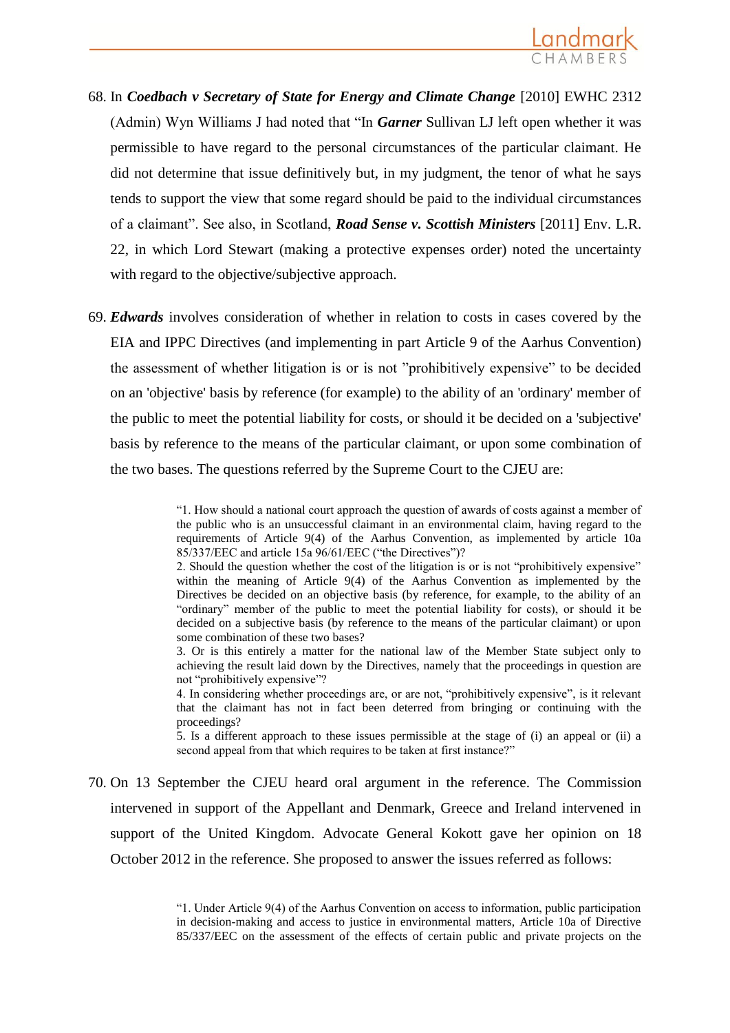

- 68. In *Coedbach v Secretary of State for Energy and Climate Change* [2010] EWHC 2312 (Admin) Wyn Williams J had noted that "In *Garner* Sullivan LJ left open whether it was permissible to have regard to the personal circumstances of the particular claimant. He did not determine that issue definitively but, in my judgment, the tenor of what he says tends to support the view that some regard should be paid to the individual circumstances of a claimant". See also, in Scotland, *Road Sense v. Scottish Ministers* [2011] Env. L.R. 22, in which Lord Stewart (making a protective expenses order) noted the uncertainty with regard to the objective/subjective approach.
- 69. *Edwards* involves consideration of whether in relation to costs in cases covered by the EIA and IPPC Directives (and implementing in part Article 9 of the Aarhus Convention) the assessment of whether litigation is or is not "prohibitively expensive" to be decided on an 'objective' basis by reference (for example) to the ability of an 'ordinary' member of the public to meet the potential liability for costs, or should it be decided on a 'subjective' basis by reference to the means of the particular claimant, or upon some combination of the two bases. The questions referred by the Supreme Court to the CJEU are:

"1. How should a national court approach the question of awards of costs against a member of the public who is an unsuccessful claimant in an environmental claim, having regard to the requirements of Article 9(4) of the Aarhus Convention, as implemented by article 10a 85/337/EEC and article 15a 96/61/EEC ("the Directives")?

2. Should the question whether the cost of the litigation is or is not "prohibitively expensive" within the meaning of Article 9(4) of the Aarhus Convention as implemented by the Directives be decided on an objective basis (by reference, for example, to the ability of an "ordinary" member of the public to meet the potential liability for costs), or should it be decided on a subjective basis (by reference to the means of the particular claimant) or upon some combination of these two bases?

3. Or is this entirely a matter for the national law of the Member State subject only to achieving the result laid down by the Directives, namely that the proceedings in question are not "prohibitively expensive"?

4. In considering whether proceedings are, or are not, "prohibitively expensive", is it relevant that the claimant has not in fact been deterred from bringing or continuing with the proceedings?

5. Is a different approach to these issues permissible at the stage of (i) an appeal or (ii) a second appeal from that which requires to be taken at first instance?"

70. On 13 September the CJEU heard oral argument in the reference. The Commission intervened in support of the Appellant and Denmark, Greece and Ireland intervened in support of the United Kingdom. Advocate General Kokott gave her opinion on 18 October 2012 in the reference. She proposed to answer the issues referred as follows:

<sup>&</sup>quot;1. Under Article 9(4) of the Aarhus Convention on access to information, public participation in decision-making and access to justice in environmental matters, Article 10a of Directive 85/337/EEC on the assessment of the effects of certain public and private projects on the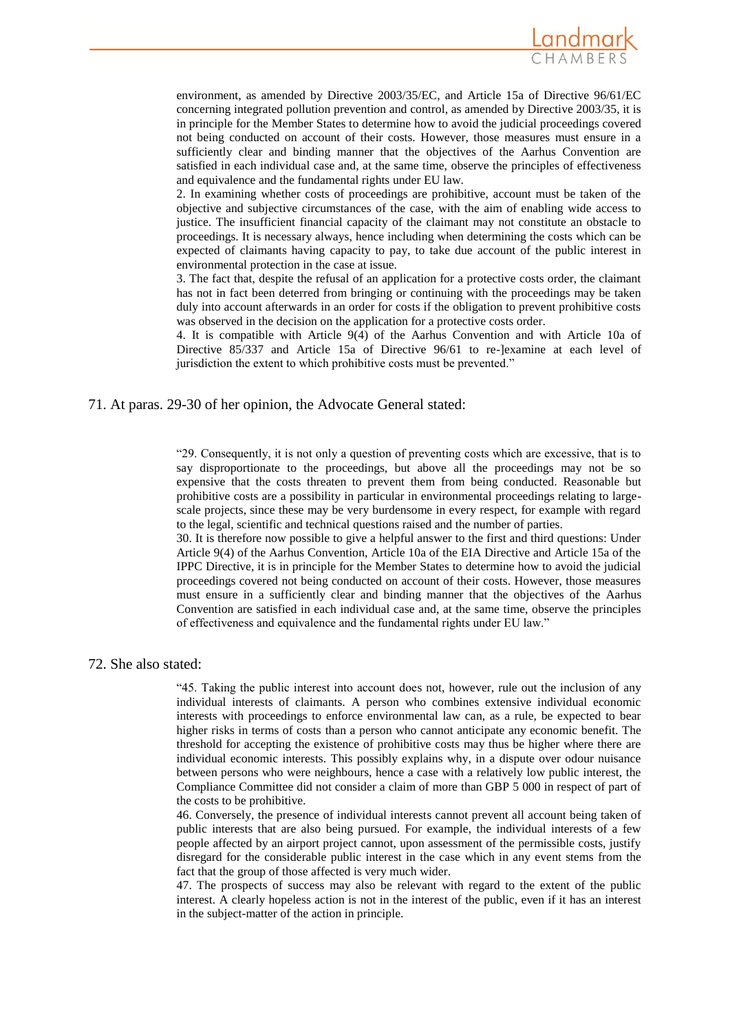

environment, as amended by Directive 2003/35/EC, and Article 15a of Directive 96/61/EC concerning integrated pollution prevention and control, as amended by Directive 2003/35, it is in principle for the Member States to determine how to avoid the judicial proceedings covered not being conducted on account of their costs. However, those measures must ensure in a sufficiently clear and binding manner that the objectives of the Aarhus Convention are satisfied in each individual case and, at the same time, observe the principles of effectiveness and equivalence and the fundamental rights under EU law.

2. In examining whether costs of proceedings are prohibitive, account must be taken of the objective and subjective circumstances of the case, with the aim of enabling wide access to justice. The insufficient financial capacity of the claimant may not constitute an obstacle to proceedings. It is necessary always, hence including when determining the costs which can be expected of claimants having capacity to pay, to take due account of the public interest in environmental protection in the case at issue.

3. The fact that, despite the refusal of an application for a protective costs order, the claimant has not in fact been deterred from bringing or continuing with the proceedings may be taken duly into account afterwards in an order for costs if the obligation to prevent prohibitive costs was observed in the decision on the application for a protective costs order.

4. It is compatible with Article 9(4) of the Aarhus Convention and with Article 10a of Directive 85/337 and Article 15a of Directive 96/61 to re-]examine at each level of jurisdiction the extent to which prohibitive costs must be prevented."

71. At paras. 29-30 of her opinion, the Advocate General stated:

"29. Consequently, it is not only a question of preventing costs which are excessive, that is to say disproportionate to the proceedings, but above all the proceedings may not be so expensive that the costs threaten to prevent them from being conducted. Reasonable but prohibitive costs are a possibility in particular in environmental proceedings relating to largescale projects, since these may be very burdensome in every respect, for example with regard to the legal, scientific and technical questions raised and the number of parties.

30. It is therefore now possible to give a helpful answer to the first and third questions: Under Article 9(4) of the Aarhus Convention, Article 10a of the EIA Directive and Article 15a of the IPPC Directive, it is in principle for the Member States to determine how to avoid the judicial proceedings covered not being conducted on account of their costs. However, those measures must ensure in a sufficiently clear and binding manner that the objectives of the Aarhus Convention are satisfied in each individual case and, at the same time, observe the principles of effectiveness and equivalence and the fundamental rights under EU law."

#### 72. She also stated:

"45. Taking the public interest into account does not, however, rule out the inclusion of any individual interests of claimants. A person who combines extensive individual economic interests with proceedings to enforce environmental law can, as a rule, be expected to bear higher risks in terms of costs than a person who cannot anticipate any economic benefit. The threshold for accepting the existence of prohibitive costs may thus be higher where there are individual economic interests. This possibly explains why, in a dispute over odour nuisance between persons who were neighbours, hence a case with a relatively low public interest, the Compliance Committee did not consider a claim of more than GBP 5 000 in respect of part of the costs to be prohibitive.

46. Conversely, the presence of individual interests cannot prevent all account being taken of public interests that are also being pursued. For example, the individual interests of a few people affected by an airport project cannot, upon assessment of the permissible costs, justify disregard for the considerable public interest in the case which in any event stems from the fact that the group of those affected is very much wider.

47. The prospects of success may also be relevant with regard to the extent of the public interest. A clearly hopeless action is not in the interest of the public, even if it has an interest in the subject-matter of the action in principle.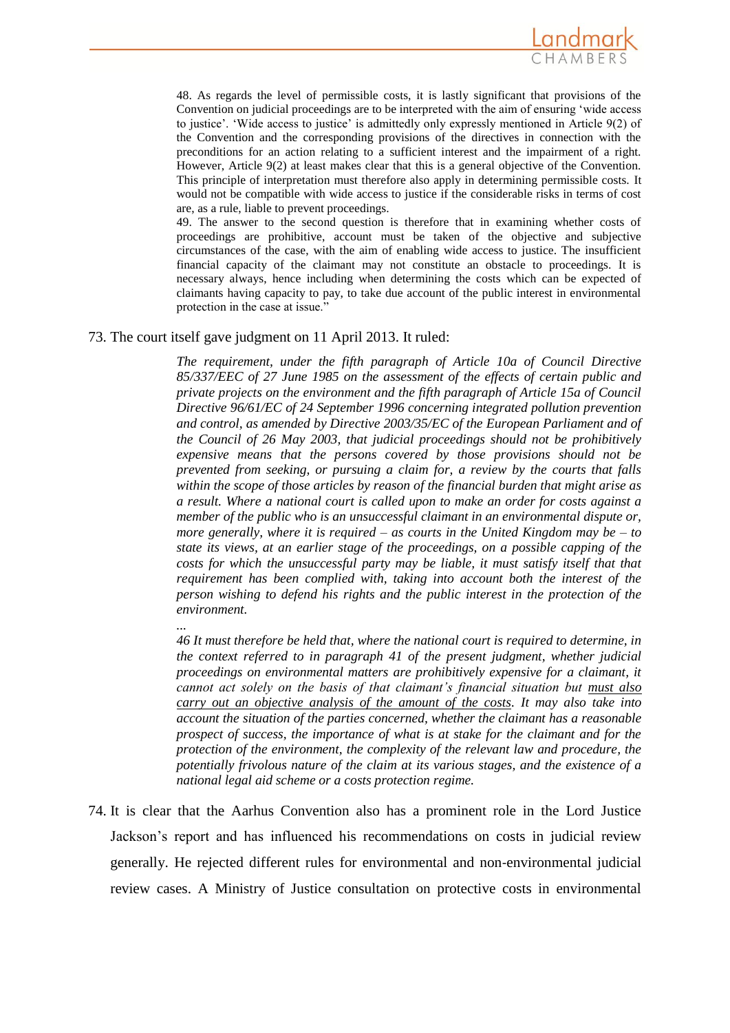

48. As regards the level of permissible costs, it is lastly significant that provisions of the Convention on judicial proceedings are to be interpreted with the aim of ensuring 'wide access to justice'. 'Wide access to justice' is admittedly only expressly mentioned in Article 9(2) of the Convention and the corresponding provisions of the directives in connection with the preconditions for an action relating to a sufficient interest and the impairment of a right. However, Article 9(2) at least makes clear that this is a general objective of the Convention. This principle of interpretation must therefore also apply in determining permissible costs. It would not be compatible with wide access to justice if the considerable risks in terms of cost are, as a rule, liable to prevent proceedings.

49. The answer to the second question is therefore that in examining whether costs of proceedings are prohibitive, account must be taken of the objective and subjective circumstances of the case, with the aim of enabling wide access to justice. The insufficient financial capacity of the claimant may not constitute an obstacle to proceedings. It is necessary always, hence including when determining the costs which can be expected of claimants having capacity to pay, to take due account of the public interest in environmental protection in the case at issue."

#### 73. The court itself gave judgment on 11 April 2013. It ruled:

*...*

*The requirement, under the fifth paragraph of Article 10a of Council Directive 85/337/EEC of 27 June 1985 on the assessment of the effects of certain public and private projects on the environment and the fifth paragraph of Article 15a of Council Directive 96/61/EC of 24 September 1996 concerning integrated pollution prevention and control, as amended by Directive 2003/35/EC of the European Parliament and of the Council of 26 May 2003, that judicial proceedings should not be prohibitively expensive means that the persons covered by those provisions should not be prevented from seeking, or pursuing a claim for, a review by the courts that falls within the scope of those articles by reason of the financial burden that might arise as a result. Where a national court is called upon to make an order for costs against a member of the public who is an unsuccessful claimant in an environmental dispute or, more generally, where it is required – as courts in the United Kingdom may be – to state its views, at an earlier stage of the proceedings, on a possible capping of the costs for which the unsuccessful party may be liable, it must satisfy itself that that requirement has been complied with, taking into account both the interest of the person wishing to defend his rights and the public interest in the protection of the environment.*

*46 It must therefore be held that, where the national court is required to determine, in the context referred to in paragraph 41 of the present judgment, whether judicial proceedings on environmental matters are prohibitively expensive for a claimant, it cannot act solely on the basis of that claimant's financial situation but must also carry out an objective analysis of the amount of the costs. It may also take into account the situation of the parties concerned, whether the claimant has a reasonable prospect of success, the importance of what is at stake for the claimant and for the protection of the environment, the complexity of the relevant law and procedure, the potentially frivolous nature of the claim at its various stages, and the existence of a national legal aid scheme or a costs protection regime.* 

74. It is clear that the Aarhus Convention also has a prominent role in the Lord Justice Jackson's report and has influenced his recommendations on costs in judicial review generally. He rejected different rules for environmental and non‐environmental judicial review cases. A Ministry of Justice consultation on protective costs in environmental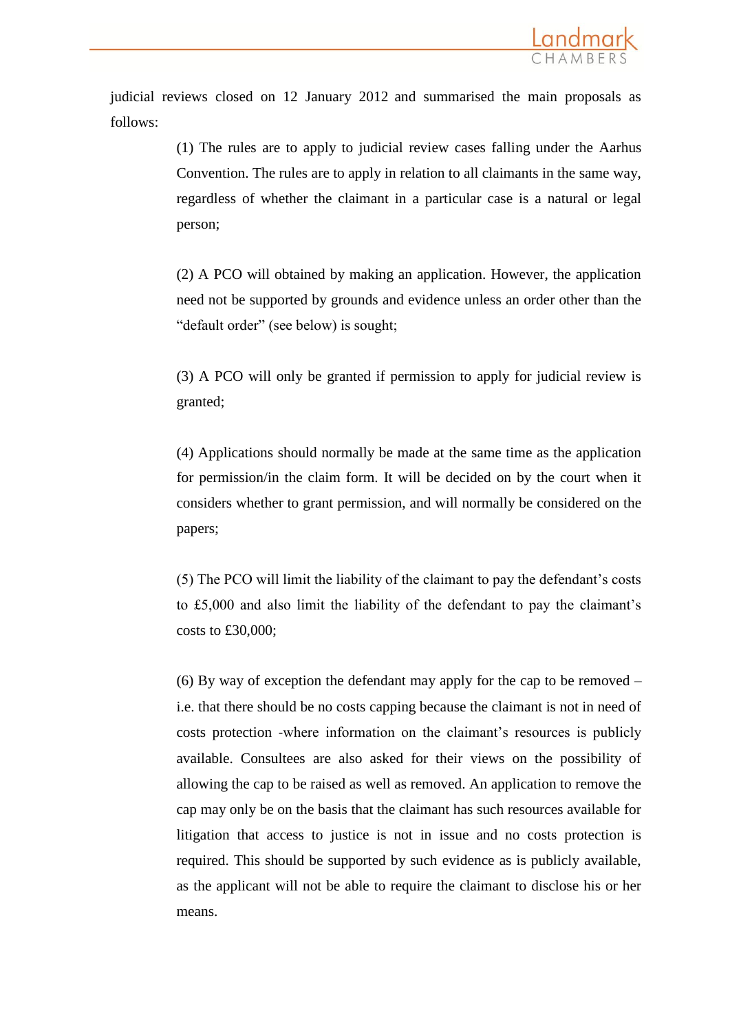

judicial reviews closed on 12 January 2012 and summarised the main proposals as follows:

> (1) The rules are to apply to judicial review cases falling under the Aarhus Convention. The rules are to apply in relation to all claimants in the same way, regardless of whether the claimant in a particular case is a natural or legal person;

> (2) A PCO will obtained by making an application. However, the application need not be supported by grounds and evidence unless an order other than the "default order" (see below) is sought;

> (3) A PCO will only be granted if permission to apply for judicial review is granted;

> (4) Applications should normally be made at the same time as the application for permission/in the claim form. It will be decided on by the court when it considers whether to grant permission, and will normally be considered on the papers;

> (5) The PCO will limit the liability of the claimant to pay the defendant's costs to £5,000 and also limit the liability of the defendant to pay the claimant's costs to £30,000;

> (6) By way of exception the defendant may apply for the cap to be removed – i.e. that there should be no costs capping because the claimant is not in need of costs protection ‐where information on the claimant's resources is publicly available. Consultees are also asked for their views on the possibility of allowing the cap to be raised as well as removed. An application to remove the cap may only be on the basis that the claimant has such resources available for litigation that access to justice is not in issue and no costs protection is required. This should be supported by such evidence as is publicly available, as the applicant will not be able to require the claimant to disclose his or her means.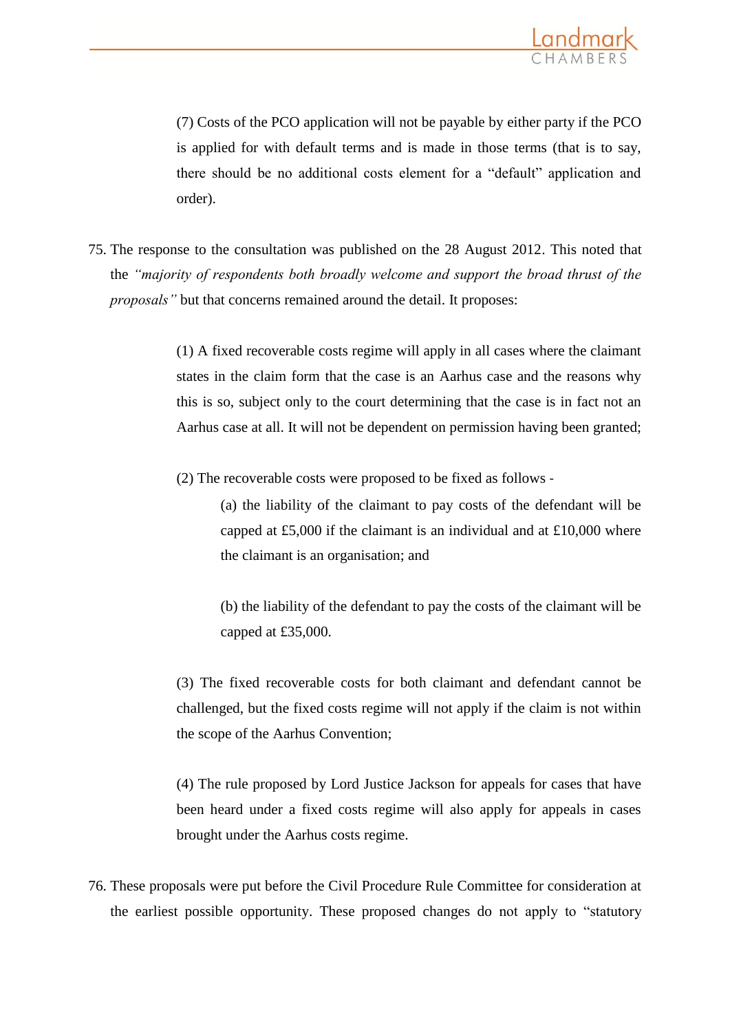(7) Costs of the PCO application will not be payable by either party if the PCO is applied for with default terms and is made in those terms (that is to say, there should be no additional costs element for a "default" application and order).

75. The response to the consultation was published on the 28 August 2012. This noted that the *"majority of respondents both broadly welcome and support the broad thrust of the proposals"* but that concerns remained around the detail. It proposes:

> (1) A fixed recoverable costs regime will apply in all cases where the claimant states in the claim form that the case is an Aarhus case and the reasons why this is so, subject only to the court determining that the case is in fact not an Aarhus case at all. It will not be dependent on permission having been granted;

(2) The recoverable costs were proposed to be fixed as follows ‐

(a) the liability of the claimant to pay costs of the defendant will be capped at £5,000 if the claimant is an individual and at £10,000 where the claimant is an organisation; and

(b) the liability of the defendant to pay the costs of the claimant will be capped at £35,000.

(3) The fixed recoverable costs for both claimant and defendant cannot be challenged, but the fixed costs regime will not apply if the claim is not within the scope of the Aarhus Convention;

(4) The rule proposed by Lord Justice Jackson for appeals for cases that have been heard under a fixed costs regime will also apply for appeals in cases brought under the Aarhus costs regime.

76. These proposals were put before the Civil Procedure Rule Committee for consideration at the earliest possible opportunity. These proposed changes do not apply to "statutory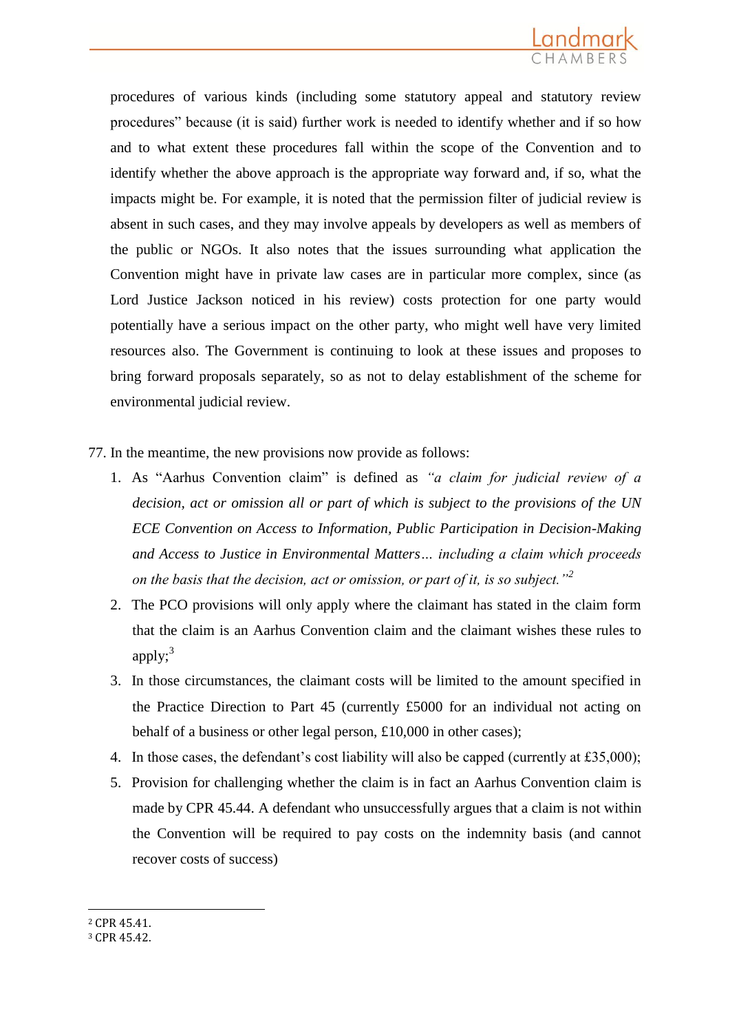

procedures of various kinds (including some statutory appeal and statutory review procedures" because (it is said) further work is needed to identify whether and if so how and to what extent these procedures fall within the scope of the Convention and to identify whether the above approach is the appropriate way forward and, if so, what the impacts might be. For example, it is noted that the permission filter of judicial review is absent in such cases, and they may involve appeals by developers as well as members of the public or NGOs. It also notes that the issues surrounding what application the Convention might have in private law cases are in particular more complex, since (as Lord Justice Jackson noticed in his review) costs protection for one party would potentially have a serious impact on the other party, who might well have very limited resources also. The Government is continuing to look at these issues and proposes to bring forward proposals separately, so as not to delay establishment of the scheme for environmental judicial review.

- 77. In the meantime, the new provisions now provide as follows:
	- 1. As "Aarhus Convention claim" is defined as *"a claim for judicial review of a decision, act or omission all or part of which is subject to the provisions of the UN ECE Convention on Access to Information, Public Participation in Decision-Making and Access to Justice in Environmental Matters… including a claim which proceeds on the basis that the decision, act or omission, or part of it, is so subject."<sup>2</sup>*
	- 2. The PCO provisions will only apply where the claimant has stated in the claim form that the claim is an Aarhus Convention claim and the claimant wishes these rules to apply; $3$
	- 3. In those circumstances, the claimant costs will be limited to the amount specified in the Practice Direction to Part 45 (currently £5000 for an individual not acting on behalf of a business or other legal person, £10,000 in other cases);
	- 4. In those cases, the defendant's cost liability will also be capped (currently at £35,000);
	- 5. Provision for challenging whether the claim is in fact an Aarhus Convention claim is made by CPR 45.44. A defendant who unsuccessfully argues that a claim is not within the Convention will be required to pay costs on the indemnity basis (and cannot recover costs of success)

<u>.</u>

<sup>2</sup> CPR 45.41.

<sup>3</sup> CPR 45.42.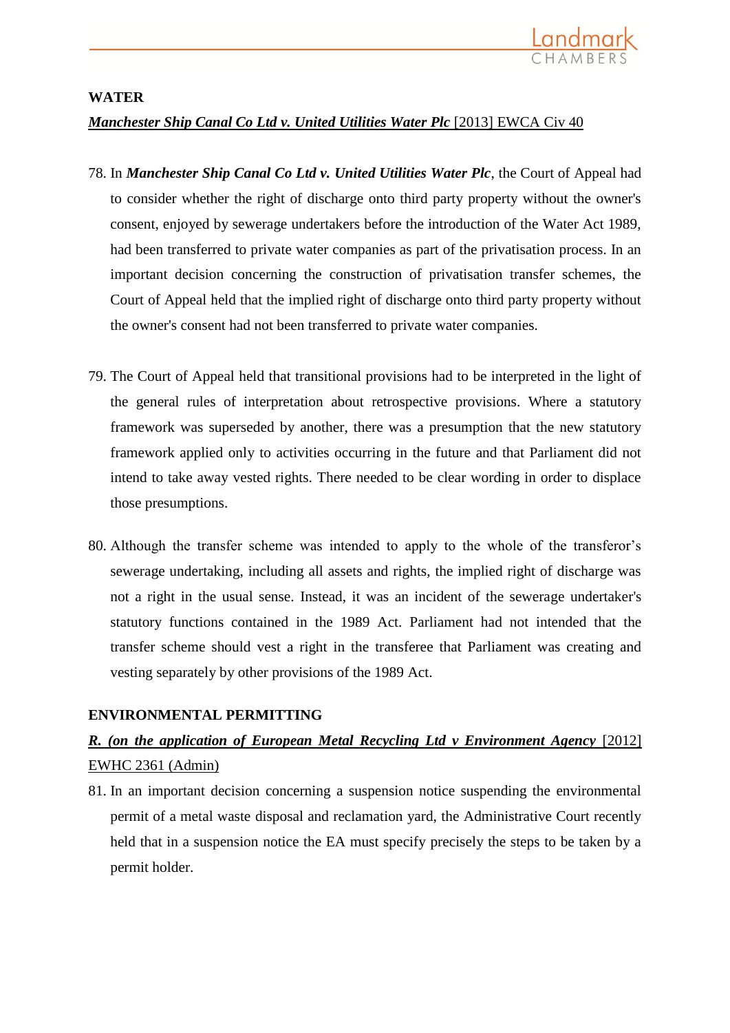

## **WATER**

## *Manchester Ship Canal Co Ltd v. United Utilities Water Plc* [2013] EWCA Civ 40

- 78. In *Manchester Ship Canal Co Ltd v. United Utilities Water Plc*, the Court of Appeal had to consider whether the right of discharge onto third party property without the owner's consent, enjoyed by sewerage undertakers before the introduction of the Water Act 1989, had been transferred to private water companies as part of the privatisation process. In an important decision concerning the construction of privatisation transfer schemes, the Court of Appeal held that the implied right of discharge onto third party property without the owner's consent had not been transferred to private water companies.
- 79. The Court of Appeal held that transitional provisions had to be interpreted in the light of the general rules of interpretation about retrospective provisions. Where a statutory framework was superseded by another, there was a presumption that the new statutory framework applied only to activities occurring in the future and that Parliament did not intend to take away vested rights. There needed to be clear wording in order to displace those presumptions.
- 80. Although the transfer scheme was intended to apply to the whole of the transferor's sewerage undertaking, including all assets and rights, the implied right of discharge was not a right in the usual sense. Instead, it was an incident of the sewerage undertaker's statutory functions contained in the 1989 Act. Parliament had not intended that the transfer scheme should vest a right in the transferee that Parliament was creating and vesting separately by other provisions of the 1989 Act.

## **ENVIRONMENTAL PERMITTING**

# *R. (on the application of European Metal Recycling Ltd v Environment Agency* [2012] EWHC 2361 (Admin)

81. In an important decision concerning a suspension notice suspending the environmental permit of a metal waste disposal and reclamation yard, the Administrative Court recently held that in a suspension notice the EA must specify precisely the steps to be taken by a permit holder.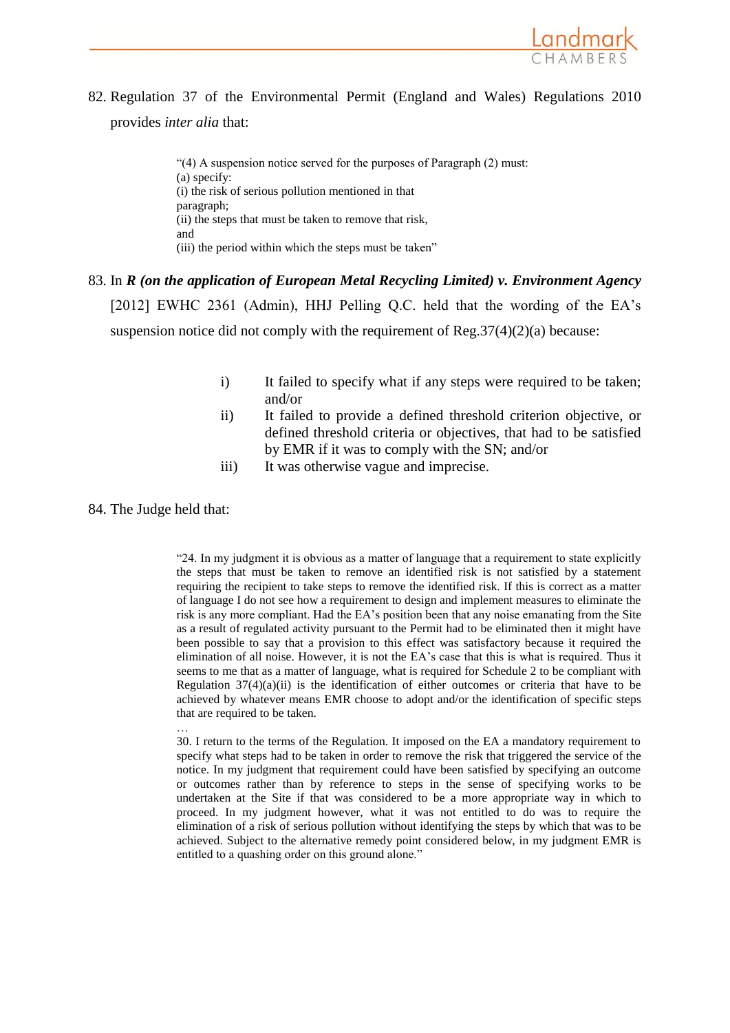

# 82. Regulation 37 of the Environmental Permit (England and Wales) Regulations 2010 provides *inter alia* that:

"(4) A suspension notice served for the purposes of Paragraph (2) must: (a) specify: (i) the risk of serious pollution mentioned in that paragraph; (ii) the steps that must be taken to remove that risk, and (iii) the period within which the steps must be taken"

83. In *R (on the application of European Metal Recycling Limited) v. Environment Agency* [2012] EWHC 2361 (Admin), HHJ Pelling Q.C. held that the wording of the EA's suspension notice did not comply with the requirement of Reg.37(4)(2)(a) because:

- i) It failed to specify what if any steps were required to be taken; and/or
- ii) It failed to provide a defined threshold criterion objective, or defined threshold criteria or objectives, that had to be satisfied by EMR if it was to comply with the SN; and/or
- iii) It was otherwise vague and imprecise.

84. The Judge held that:

…

"24. In my judgment it is obvious as a matter of language that a requirement to state explicitly the steps that must be taken to remove an identified risk is not satisfied by a statement requiring the recipient to take steps to remove the identified risk. If this is correct as a matter of language I do not see how a requirement to design and implement measures to eliminate the risk is any more compliant. Had the EA's position been that any noise emanating from the Site as a result of regulated activity pursuant to the Permit had to be eliminated then it might have been possible to say that a provision to this effect was satisfactory because it required the elimination of all noise. However, it is not the EA's case that this is what is required. Thus it seems to me that as a matter of language, what is required for Schedule 2 to be compliant with Regulation  $37(4)(a)(ii)$  is the identification of either outcomes or criteria that have to be achieved by whatever means EMR choose to adopt and/or the identification of specific steps that are required to be taken.

30. I return to the terms of the Regulation. It imposed on the EA a mandatory requirement to specify what steps had to be taken in order to remove the risk that triggered the service of the notice. In my judgment that requirement could have been satisfied by specifying an outcome or outcomes rather than by reference to steps in the sense of specifying works to be undertaken at the Site if that was considered to be a more appropriate way in which to proceed. In my judgment however, what it was not entitled to do was to require the elimination of a risk of serious pollution without identifying the steps by which that was to be achieved. Subject to the alternative remedy point considered below, in my judgment EMR is entitled to a quashing order on this ground alone."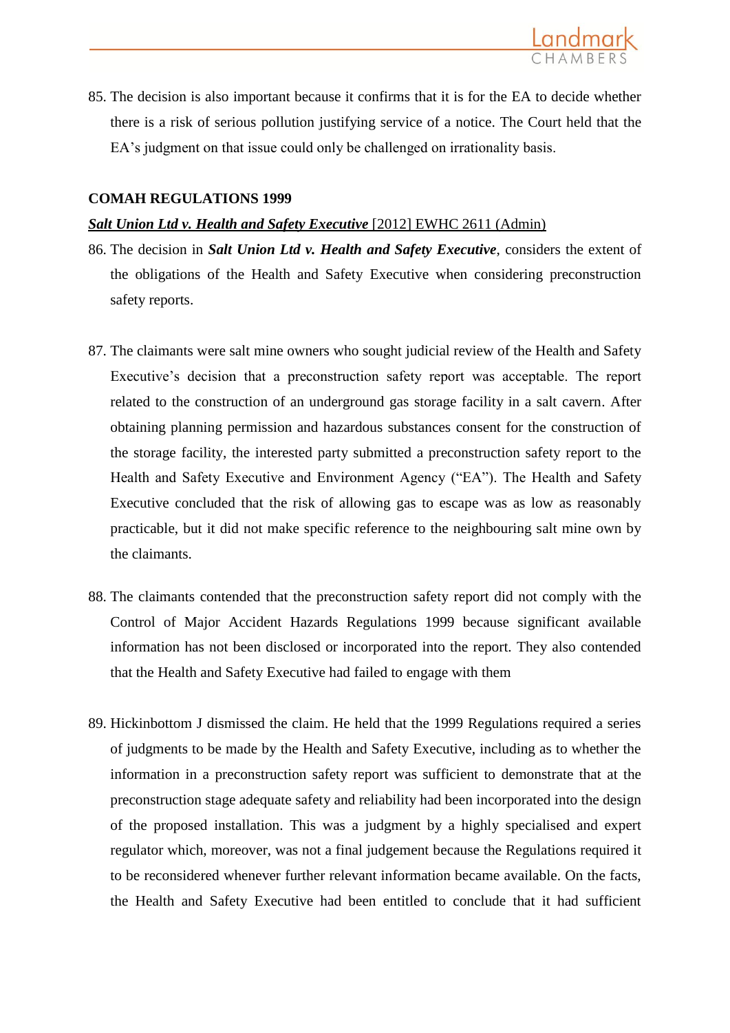

85. The decision is also important because it confirms that it is for the EA to decide whether there is a risk of serious pollution justifying service of a notice. The Court held that the EA's judgment on that issue could only be challenged on irrationality basis.

## **COMAH REGULATIONS 1999**

### *Salt Union Ltd v. Health and Safety Executive* [2012] EWHC 2611 (Admin)

- 86. The decision in *Salt Union Ltd v. Health and Safety Executive*, considers the extent of the obligations of the Health and Safety Executive when considering preconstruction safety reports.
- 87. The claimants were salt mine owners who sought judicial review of the Health and Safety Executive's decision that a preconstruction safety report was acceptable. The report related to the construction of an underground gas storage facility in a salt cavern. After obtaining planning permission and hazardous substances consent for the construction of the storage facility, the interested party submitted a preconstruction safety report to the Health and Safety Executive and Environment Agency ("EA"). The Health and Safety Executive concluded that the risk of allowing gas to escape was as low as reasonably practicable, but it did not make specific reference to the neighbouring salt mine own by the claimants.
- 88. The claimants contended that the preconstruction safety report did not comply with the Control of Major Accident Hazards Regulations 1999 because significant available information has not been disclosed or incorporated into the report. They also contended that the Health and Safety Executive had failed to engage with them
- 89. Hickinbottom J dismissed the claim. He held that the 1999 Regulations required a series of judgments to be made by the Health and Safety Executive, including as to whether the information in a preconstruction safety report was sufficient to demonstrate that at the preconstruction stage adequate safety and reliability had been incorporated into the design of the proposed installation. This was a judgment by a highly specialised and expert regulator which, moreover, was not a final judgement because the Regulations required it to be reconsidered whenever further relevant information became available. On the facts, the Health and Safety Executive had been entitled to conclude that it had sufficient